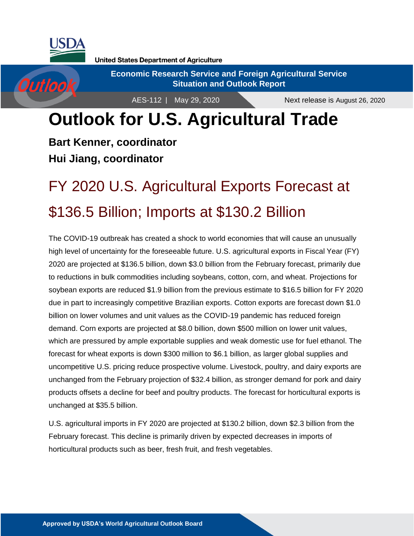

**Outlook** 

**United States Department of Agriculture** 

**Economic Research Service and Foreign Agricultural Service Situation and Outlook Report**

AES-112 | May 29, 2020

# **Outlook for U.S. Agricultural Trade**

**Bart Kenner, coordinator Hui Jiang, coordinator**

# FY 2020 U.S. Agricultural Exports Forecast at \$136.5 Billion; Imports at \$130.2 Billion

The COVID-19 outbreak has created a shock to world economies that will cause an unusually high level of uncertainty for the foreseeable future. U.S. agricultural exports in Fiscal Year (FY) 2020 are projected at \$136.5 billion, down \$3.0 billion from the February forecast, primarily due to reductions in bulk commodities including soybeans, cotton, corn, and wheat. Projections for soybean exports are reduced \$1.9 billion from the previous estimate to \$16.5 billion for FY 2020 due in part to increasingly competitive Brazilian exports. Cotton exports are forecast down \$1.0 billion on lower volumes and unit values as the COVID-19 pandemic has reduced foreign demand. Corn exports are projected at \$8.0 billion, down \$500 million on lower unit values, which are pressured by ample exportable supplies and weak domestic use for fuel ethanol. The forecast for wheat exports is down \$300 million to \$6.1 billion, as larger global supplies and uncompetitive U.S. pricing reduce prospective volume. Livestock, poultry, and dairy exports are unchanged from the February projection of \$32.4 billion, as stronger demand for pork and dairy products offsets a decline for beef and poultry products. The forecast for horticultural exports is unchanged at \$35.5 billion.

U.S. agricultural imports in FY 2020 are projected at \$130.2 billion, down \$2.3 billion from the February forecast. This decline is primarily driven by expected decreases in imports of horticultural products such as beer, fresh fruit, and fresh vegetables.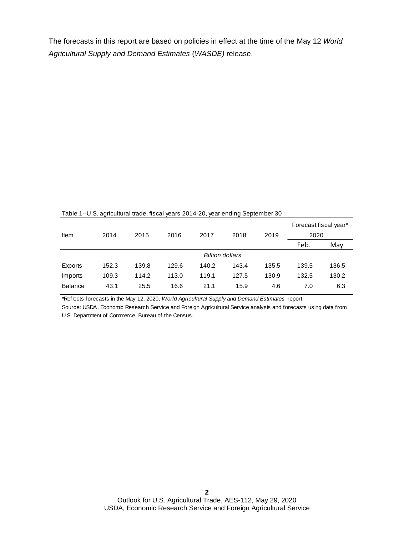The forecasts in this report are based on policies in effect at the time of the May 12 *World Agricultural Supply and Demand Estimates* (*WASDE)* release.

| Item           | 2014  | 2015  | 2016  | 2017                   | 2018  | 2019  | Forecast fiscal year*<br>2020 |       |
|----------------|-------|-------|-------|------------------------|-------|-------|-------------------------------|-------|
|                |       |       |       |                        |       |       | Feb.                          | May   |
|                |       |       |       | <b>Billion dollars</b> |       |       |                               |       |
| Exports        | 152.3 | 139.8 | 129.6 | 140.2                  | 143.4 | 135.5 | 139.5                         | 136.5 |
| Imports        | 109.3 | 114.2 | 113.0 | 119.1                  | 127.5 | 130.9 | 132.5                         | 130.2 |
| <b>Balance</b> | 43.1  | 25.5  | 16.6  | 21.1                   | 15.9  | 4.6   | 7.0                           | 6.3   |

Table 1--U.S. agricultural trade, fiscal years 2014-20, year ending September 30

\*Reflects forecasts in the May 12, 2020, *World Agricultural Supply and Demand Estimates* report.

Source: USDA, Economic Research Service and Foreign Agricultural Service analysis and forecasts using data from U.S. Department of Commerce, Bureau of the Census.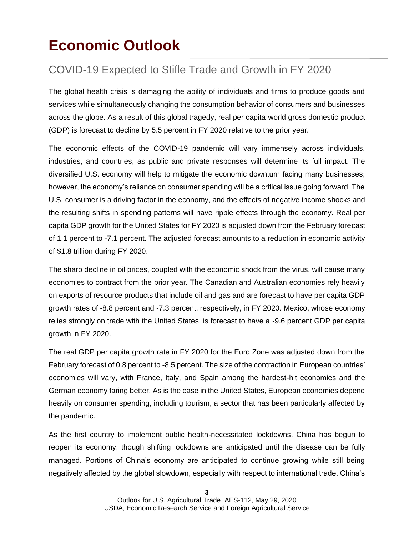### **Economic Outlook**

### COVID-19 Expected to Stifle Trade and Growth in FY 2020

The global health crisis is damaging the ability of individuals and firms to produce goods and services while simultaneously changing the consumption behavior of consumers and businesses across the globe. As a result of this global tragedy, real per capita world gross domestic product (GDP) is forecast to decline by 5.5 percent in FY 2020 relative to the prior year.

The economic effects of the COVID-19 pandemic will vary immensely across individuals, industries, and countries, as public and private responses will determine its full impact. The diversified U.S. economy will help to mitigate the economic downturn facing many businesses; however, the economy's reliance on consumer spending will be a critical issue going forward. The U.S. consumer is a driving factor in the economy, and the effects of negative income shocks and the resulting shifts in spending patterns will have ripple effects through the economy. Real per capita GDP growth for the United States for FY 2020 is adjusted down from the February forecast of 1.1 percent to -7.1 percent. The adjusted forecast amounts to a reduction in economic activity of \$1.8 trillion during FY 2020.

The sharp decline in oil prices, coupled with the economic shock from the virus, will cause many economies to contract from the prior year. The Canadian and Australian economies rely heavily on exports of resource products that include oil and gas and are forecast to have per capita GDP growth rates of -8.8 percent and -7.3 percent, respectively, in FY 2020. Mexico, whose economy relies strongly on trade with the United States, is forecast to have a -9.6 percent GDP per capita growth in FY 2020.

The real GDP per capita growth rate in FY 2020 for the Euro Zone was adjusted down from the February forecast of 0.8 percent to -8.5 percent. The size of the contraction in European countries' economies will vary, with France, Italy, and Spain among the hardest-hit economies and the German economy faring better. As is the case in the United States, European economies depend heavily on consumer spending, including tourism, a sector that has been particularly affected by the pandemic.

As the first country to implement public health-necessitated lockdowns, China has begun to reopen its economy, though shifting lockdowns are anticipated until the disease can be fully managed. Portions of China's economy are anticipated to continue growing while still being negatively affected by the global slowdown, especially with respect to international trade. China's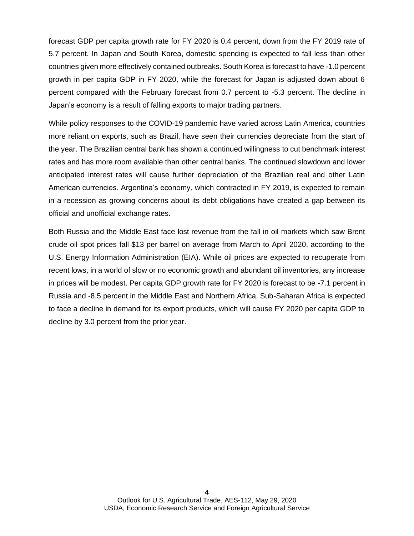forecast GDP per capita growth rate for FY 2020 is 0.4 percent, down from the FY 2019 rate of 5.7 percent. In Japan and South Korea, domestic spending is expected to fall less than other countries given more effectively contained outbreaks. South Korea is forecast to have -1.0 percent growth in per capita GDP in FY 2020, while the forecast for Japan is adjusted down about 6 percent compared with the February forecast from 0.7 percent to -5.3 percent. The decline in Japan's economy is a result of falling exports to major trading partners.

While policy responses to the COVID-19 pandemic have varied across Latin America, countries more reliant on exports, such as Brazil, have seen their currencies depreciate from the start of the year. The Brazilian central bank has shown a continued willingness to cut benchmark interest rates and has more room available than other central banks. The continued slowdown and lower anticipated interest rates will cause further depreciation of the Brazilian real and other Latin American currencies. Argentina's economy, which contracted in FY 2019, is expected to remain in a recession as growing concerns about its debt obligations have created a gap between its official and unofficial exchange rates.

Both Russia and the Middle East face lost revenue from the fall in oil markets which saw Brent crude oil spot prices fall \$13 per barrel on average from March to April 2020, according to the U.S. Energy Information Administration (EIA). While oil prices are expected to recuperate from recent lows, in a world of slow or no economic growth and abundant oil inventories, any increase in prices will be modest. Per capita GDP growth rate for FY 2020 is forecast to be -7.1 percent in Russia and -8.5 percent in the Middle East and Northern Africa. Sub-Saharan Africa is expected to face a decline in demand for its export products, which will cause FY 2020 per capita GDP to decline by 3.0 percent from the prior year.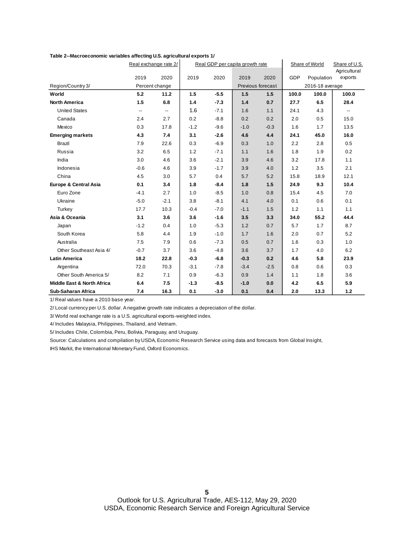|                                       | Real exchange rate 2/ |        |        | Real GDP per capita growth rate |        |                   |       | Share of World  | Share of U.S.<br>Agricultural |
|---------------------------------------|-----------------------|--------|--------|---------------------------------|--------|-------------------|-------|-----------------|-------------------------------|
|                                       | 2019                  | 2020   | 2019   | 2020                            | 2019   | 2020              | GDP   | Population      | exports                       |
| Region/Country 3/                     | Percent change        |        |        |                                 |        | Previous forecast |       | 2016-18 average |                               |
| World                                 | 5.2                   | 11.2   | 1.5    | $-5.5$                          | 1.5    | 1.5               | 100.0 | 100.0           | 100.0                         |
| <b>North America</b>                  | 1.5                   | 6.8    | 1.4    | $-7.3$                          | 1.4    | 0.7               | 27.7  | 6.5             | 28.4                          |
| <b>United States</b>                  | --                    | --     | 1.6    | $-7.1$                          | 1.6    | 1.1               | 24.1  | 4.3             | $\overline{\phantom{a}}$      |
| Canada                                | 2.4                   | 2.7    | 0.2    | $-8.8$                          | 0.2    | 0.2               | 2.0   | 0.5             | 15.0                          |
| Mexico                                | 0.3                   | 17.8   | $-1.2$ | $-9.6$                          | $-1.0$ | $-0.3$            | 1.6   | 1.7             | 13.5                          |
| <b>Emerging markets</b>               | 4.3                   | 7.4    | 3.1    | $-2.6$                          | 4.6    | 4.4               | 24.1  | 45.0            | 16.0                          |
| Brazil                                | 7.9                   | 22.6   | 0.3    | $-6.9$                          | 0.3    | 1.0               | 2.2   | 2.8             | 0.5                           |
| Russia                                | 3.2                   | 6.5    | 1.2    | $-7.1$                          | 1.1    | 1.6               | 1.8   | 1.9             | 0.2                           |
| India                                 | 3.0                   | 4.6    | 3.6    | $-2.1$                          | 3.9    | 4.6               | 3.2   | 17.8            | 1.1                           |
| Indonesia                             | $-0.6$                | 4.6    | 3.9    | $-1.7$                          | 3.9    | 4.0               | 1.2   | 3.5             | 2.1                           |
| China                                 | 4.5                   | 3.0    | 5.7    | 0.4                             | 5.7    | 5.2               | 15.8  | 18.9            | 12.1                          |
| Europe & Central Asia                 | 0.1                   | 3.4    | 1.8    | $-8.4$                          | 1.8    | 1.5               | 24.9  | 9.3             | 10.4                          |
| Euro Zone                             | $-4.1$                | 2.7    | 1.0    | $-8.5$                          | 1.0    | 0.8               | 15.4  | 4.5             | 7.0                           |
| Ukraine                               | $-5.0$                | $-2.1$ | 3.8    | $-8.1$                          | 4.1    | 4.0               | 0.1   | 0.6             | 0.1                           |
| Turkey                                | 17.7                  | 10.3   | $-0.4$ | $-7.0$                          | $-1.1$ | 1.5               | 1.2   | 1.1             | 1.1                           |
| Asia & Oceania                        | 3.1                   | 3.6    | 3.6    | $-1.6$                          | 3.5    | 3.3               | 34.0  | 55.2            | 44.4                          |
| Japan                                 | $-1.2$                | 0.4    | 1.0    | $-5.3$                          | 1.2    | 0.7               | 5.7   | 1.7             | 8.7                           |
| South Korea                           | 5.8                   | 4.4    | 1.9    | $-1.0$                          | 1.7    | 1.6               | 2.0   | 0.7             | 5.2                           |
| Australia                             | 7.5                   | 7.9    | 0.6    | $-7.3$                          | 0.5    | 0.7               | 1.6   | 0.3             | 1.0                           |
| Other Southeast Asia 4/               | $-0.7$                | 3.7    | 3.6    | $-4.8$                          | 3.6    | 3.7               | 1.7   | 4.0             | 6.2                           |
| <b>Latin America</b>                  | 18.2                  | 22.8   | $-0.3$ | $-6.8$                          | $-0.3$ | 0.2               | 4.6   | 5.8             | 23.9                          |
| Argentina                             | 72.0                  | 70.3   | $-3.1$ | $-7.8$                          | $-3.4$ | $-2.5$            | 0.8   | 0.6             | 0.3                           |
| Other South America 5/                | 8.2                   | 7.1    | 0.9    | $-6.3$                          | 0.9    | 1.4               | 1.1   | 1.8             | 3.6                           |
| <b>Middle East &amp; North Africa</b> | 6.4                   | 7.5    | $-1.3$ | $-8.5$                          | $-1.0$ | 0.0               | 4.2   | 6.5             | 5.9                           |
| <b>Sub-Saharan Africa</b>             | 7.4                   | 16.3   | 0.1    | $-3.0$                          | 0.1    | 0.4               | 2.0   | 13.3            | $1.2$                         |

**Table 2--Macroeconomic variables affecting U.S. agricultural exports 1/**

1/ Real values have a 2010 base year.

2/ Local currency per U.S. dollar. A negative growth rate indicates a depreciation of the dollar.

3/ World real exchange rate is a U.S. agricultural exports-weighted index.

4/ Includes Malaysia, Philippines, Thailand, and Vietnam.

5/ Includes Chile, Colombia, Peru, Bolivia, Paraguay, and Uruguay.

Source: Calculations and compilation by USDA, Economic Research Service using data and forecasts from Global Insight,

IHS Markit, the International Monetary Fund, Oxford Economics.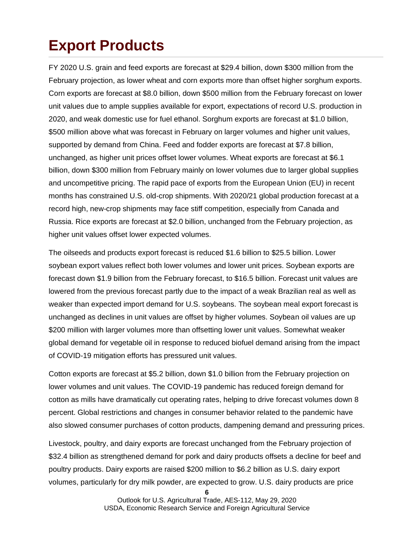## **Export Products**

FY 2020 U.S. grain and feed exports are forecast at \$29.4 billion, down \$300 million from the February projection, as lower wheat and corn exports more than offset higher sorghum exports. Corn exports are forecast at \$8.0 billion, down \$500 million from the February forecast on lower unit values due to ample supplies available for export, expectations of record U.S. production in 2020, and weak domestic use for fuel ethanol. Sorghum exports are forecast at \$1.0 billion, \$500 million above what was forecast in February on larger volumes and higher unit values, supported by demand from China. Feed and fodder exports are forecast at \$7.8 billion, unchanged, as higher unit prices offset lower volumes. Wheat exports are forecast at \$6.1 billion, down \$300 million from February mainly on lower volumes due to larger global supplies and uncompetitive pricing. The rapid pace of exports from the European Union (EU) in recent months has constrained U.S. old-crop shipments. With 2020/21 global production forecast at a record high, new-crop shipments may face stiff competition, especially from Canada and Russia. Rice exports are forecast at \$2.0 billion, unchanged from the February projection, as higher unit values offset lower expected volumes.

The oilseeds and products export forecast is reduced \$1.6 billion to \$25.5 billion. Lower soybean export values reflect both lower volumes and lower unit prices. Soybean exports are forecast down \$1.9 billion from the February forecast, to \$16.5 billion. Forecast unit values are lowered from the previous forecast partly due to the impact of a weak Brazilian real as well as weaker than expected import demand for U.S. soybeans. The soybean meal export forecast is unchanged as declines in unit values are offset by higher volumes. Soybean oil values are up \$200 million with larger volumes more than offsetting lower unit values. Somewhat weaker global demand for vegetable oil in response to reduced biofuel demand arising from the impact of COVID-19 mitigation efforts has pressured unit values.

Cotton exports are forecast at \$5.2 billion, down \$1.0 billion from the February projection on lower volumes and unit values. The COVID-19 pandemic has reduced foreign demand for cotton as mills have dramatically cut operating rates, helping to drive forecast volumes down 8 percent. Global restrictions and changes in consumer behavior related to the pandemic have also slowed consumer purchases of cotton products, dampening demand and pressuring prices.

Livestock, poultry, and dairy exports are forecast unchanged from the February projection of \$32.4 billion as strengthened demand for pork and dairy products offsets a decline for beef and poultry products. Dairy exports are raised \$200 million to \$6.2 billion as U.S. dairy export volumes, particularly for dry milk powder, are expected to grow. U.S. dairy products are price

**<sup>6</sup>**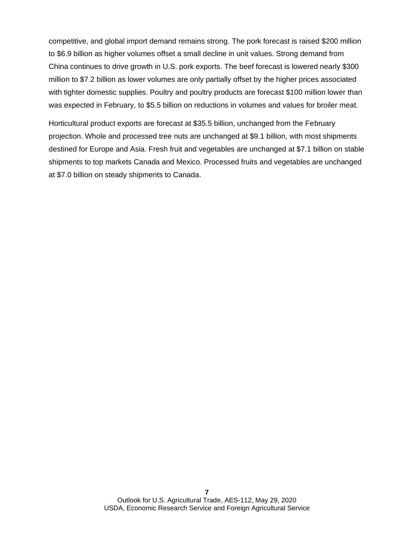competitive, and global import demand remains strong. The pork forecast is raised \$200 million to \$6.9 billion as higher volumes offset a small decline in unit values. Strong demand from China continues to drive growth in U.S. pork exports. The beef forecast is lowered nearly \$300 million to \$7.2 billion as lower volumes are only partially offset by the higher prices associated with tighter domestic supplies. Poultry and poultry products are forecast \$100 million lower than was expected in February, to \$5.5 billion on reductions in volumes and values for broiler meat.

Horticultural product exports are forecast at \$35.5 billion, unchanged from the February projection. Whole and processed tree nuts are unchanged at \$9.1 billion, with most shipments destined for Europe and Asia. Fresh fruit and vegetables are unchanged at \$7.1 billion on stable shipments to top markets Canada and Mexico. Processed fruits and vegetables are unchanged at \$7.0 billion on steady shipments to Canada.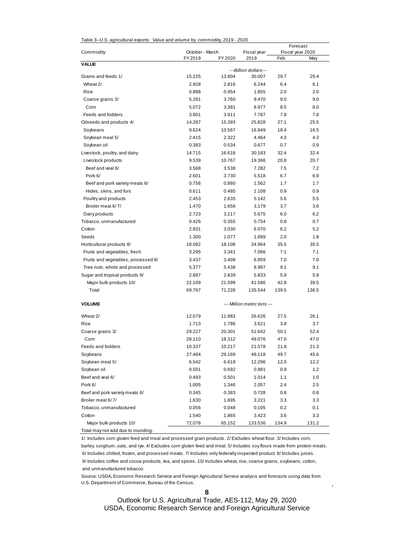| Table 3--U.S. agricultural exports: Value and volume by commodity, 2019 - 2020 |  |
|--------------------------------------------------------------------------------|--|
|                                                                                |  |

|                                     |                 |         |                             |       | Forecast         |
|-------------------------------------|-----------------|---------|-----------------------------|-------|------------------|
| Commodity                           | October - March |         | Fiscal year<br>2019         |       | Fiscal year 2020 |
| <b>VALUE</b>                        | FY 2019         | FY 2020 |                             | Feb.  | May              |
|                                     |                 |         | ---Billion dollars---       |       |                  |
| Grains and feeds 1/                 | 15.225          | 13.804  | 30.007                      | 29.7  | 29.4             |
| Wheat 2/                            | 2.928           | 2.816   | 6.244                       | 6.4   | 6.1              |
| Rice                                | 0.888           | 0.954   | 1.855                       | 2.0   | 2.0              |
| Coarse grains 3/                    | 5.281           | 3.760   | 9.470                       | 9.0   | 9.0              |
| Corn                                | 5.072           | 3.381   | 8.977                       | 8.5   | 8.0              |
| Feeds and fodders                   | 3.801           | 3.911   | 7.787                       | 7.8   | 7.8              |
| Oilseeds and products 4/            | 14.287          | 15.393  | 25.828                      | 27.1  | 25.5             |
| Soybeans                            | 9.624           | 10.567  | 16.949                      | 18.4  | 16.5             |
| Soybean meal 5/                     | 2.415           | 2.322   | 4.464                       | 4.3   | 4.3              |
| Soybean oil                         | 0.383           | 0.534   | 0.677                       | 0.7   | 0.9              |
| Livestock, poultry, and dairy       | 14.715          | 16.618  | 30.183                      | 32.4  | 32.4             |
| Livestock products                  | 9.539           | 10.767  | 19.366                      | 20.8  | 20.7             |
| Beef and veal 6/                    | 3.568           | 3.538   | 7.282                       | 7.5   | 7.2              |
| Pork 6/                             | 2.601           | 3.730   | 5.518                       | 6.7   | 6.9              |
| Beef and pork variety meats 6/      | 0.756           | 0.880   | 1.562                       | 1.7   | 1.7              |
| Hides, skins, and furs              | 0.611           | 0.485   | 1.108                       | 0.9   | 0.9              |
| Poultry and products                | 2.453           | 2.635   | 5.142                       | 5.6   | 5.5              |
| Broiler meat 6/7/                   | 1.470           | 1.656   | 3.179                       | 3.7   | 3.6              |
| Dairy products                      | 2.723           | 3.217   | 5.675                       | 6.0   | 6.2              |
| Tobacco, unmanufactured             | 0.426           | 0.355   | 0.754                       | 0.8   | 0.7              |
| Cotton                              | 2.831           | 3.030   | 6.070                       | 6.2   | 5.2              |
| Seeds                               | 1.300           | 1.077   | 1.899                       | 2.0   | 1.8              |
| Horticultural products 8/           | 18.082          | 18.108  | 34.964                      | 35.5  | 35.5             |
| Fruits and vegetables, fresh        | 3.295           | 3.341   | 7.066                       | 7.1   | 7.1              |
| Fruits and vegetables, processed 8/ | 3.437           | 3.408   | 6.859                       | 7.0   | 7.0              |
| Tree nuts, whole and processed      | 5.377           | 5.438   | 8.997                       | 9.1   | 9.1              |
| Sugar and tropical products 9/      | 2.897           | 2.839   | 5.833                       | 5.9   | 5.9              |
| Major bulk products 10/             | 22.109          | 21.599  | 41.586                      | 42.8  | 39.5             |
| Total                               | 69.767          | 71.228  | 135.544                     | 139.5 | 136.5            |
| <b>VOLUME</b>                       |                 |         | --- Million metric tons --- |       |                  |
| Wheat 2/                            | 12.079          | 11.983  | 26.626                      | 27.5  | 26.1             |
| Rice                                | 1.713           | 1.786   | 3.621                       | 3.8   | 3.7              |
| Coarse grains 3/                    | 29.227          | 20.301  | 51.642                      | 50.1  | 52.4             |
| Corn                                | 28.110          | 18.312  | 49.076                      | 47.0  | 47.0             |
| Feeds and fodders                   | 10.337          | 10.217  | 21.578                      | 21.8  | 21.3             |
| Soybeans                            | 27.464          | 29.169  | 48.118                      | 49.7  | 45.6             |
| Soybean meal 5/                     | 6.542           | 6.619   | 12.296                      | 12.0  | 12.2             |
| Soybean oil                         | 0.501           | 0.692   | 0.881                       | 0.9   | $1.2$            |
| Beef and veal 6/                    | 0.493           | 0.501   | 1.014                       | 1.1   | 1.0              |
| Pork 6/                             | 1.005           | 1.346   | 2.057                       | 2.4   | 2.5              |
| Beef and pork variety meats 6/      | 0.345           | 0.383   | 0.728                       | 0.8   | 0.8              |
| Broiler meat 6/7/                   | 1.630           | 1.695   | 3.221                       | 3.3   | 3.3              |
| Tobacco, unmanufactured             | 0.056           | 0.048   | 0.105                       | 0.2   | 0.1              |
| Cotton                              | 1.540           | 1.865   | 3.423                       | 3.6   | 3.3              |
| Major bulk products 10/             | 72.078          | 65.152  | 133.536                     | 134.9 | 131.2            |
| Total may not add due to rounding.  |                 |         |                             |       |                  |

1/ Includes corn gluten feed and meal and processed grain products. 2/ Excludes wheat flour. 3/ Includes corn, barley, sorghum, oats, and rye. 4/ Excludes corn gluten feed and meal. 5/ Includes soy flours made from protein meals. 6/ Includes chilled, frozen, and processed meats. 7/ Includes only federally inspected product. 8/ Includes juices. 9/ Includes coffee and cocoa products, tea, and spices. 10/ Includes wheat, rice, coarse grains, soybeans, cotton, and unmanufactured tobacco.

Source: USDA, Economic Research Service and Foreign Agricultural Service analysis and forecasts using data from U.S. Department of Commerce, Bureau of the Census.

.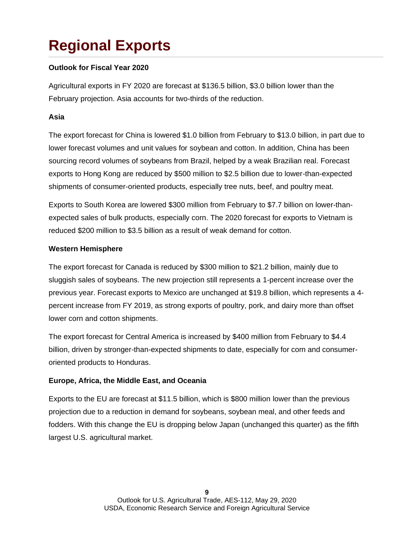## **Regional Exports**

#### **Outlook for Fiscal Year 2020**

Agricultural exports in FY 2020 are forecast at \$136.5 billion, \$3.0 billion lower than the February projection. Asia accounts for two-thirds of the reduction.

#### **Asia**

The export forecast for China is lowered \$1.0 billion from February to \$13.0 billion, in part due to lower forecast volumes and unit values for soybean and cotton. In addition, China has been sourcing record volumes of soybeans from Brazil, helped by a weak Brazilian real. Forecast exports to Hong Kong are reduced by \$500 million to \$2.5 billion due to lower-than-expected shipments of consumer-oriented products, especially tree nuts, beef, and poultry meat.

Exports to South Korea are lowered \$300 million from February to \$7.7 billion on lower-thanexpected sales of bulk products, especially corn. The 2020 forecast for exports to Vietnam is reduced \$200 million to \$3.5 billion as a result of weak demand for cotton.

#### **Western Hemisphere**

The export forecast for Canada is reduced by \$300 million to \$21.2 billion, mainly due to sluggish sales of soybeans. The new projection still represents a 1-percent increase over the previous year. Forecast exports to Mexico are unchanged at \$19.8 billion, which represents a 4 percent increase from FY 2019, as strong exports of poultry, pork, and dairy more than offset lower corn and cotton shipments.

The export forecast for Central America is increased by \$400 million from February to \$4.4 billion, driven by stronger-than-expected shipments to date, especially for corn and consumeroriented products to Honduras.

#### **Europe, Africa, the Middle East, and Oceania**

Exports to the EU are forecast at \$11.5 billion, which is \$800 million lower than the previous projection due to a reduction in demand for soybeans, soybean meal, and other feeds and fodders. With this change the EU is dropping below Japan (unchanged this quarter) as the fifth largest U.S. agricultural market.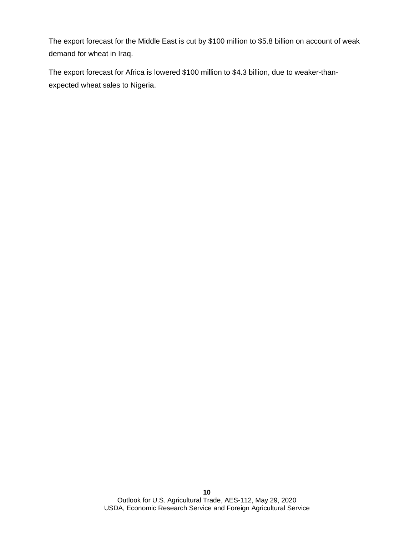The export forecast for the Middle East is cut by \$100 million to \$5.8 billion on account of weak demand for wheat in Iraq.

The export forecast for Africa is lowered \$100 million to \$4.3 billion, due to weaker-thanexpected wheat sales to Nigeria.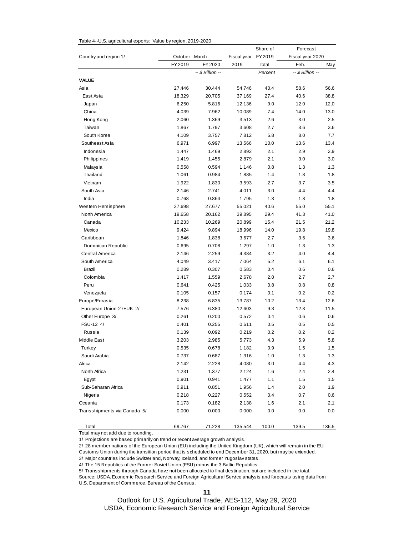|                              |                 |                  |             | Share of | Forecast         |       |  |
|------------------------------|-----------------|------------------|-------------|----------|------------------|-------|--|
| Country and region 1/        | October - March |                  | Fiscal year | FY 2019  | Fiscal year 2020 |       |  |
|                              | FY 2019         | FY 2020          | 2019        | total    | Feb.             | May   |  |
|                              |                 | -- \$ Billion -- |             | Percent  | -- \$ Billion -- |       |  |
| <b>VALUE</b>                 |                 |                  |             |          |                  |       |  |
| Asia                         | 27.446          | 30.444           | 54.746      | 40.4     | 58.6             | 56.6  |  |
| East Asia                    | 18.329          | 20.705           | 37.169      | 27.4     | 40.6             | 38.8  |  |
| Japan                        | 6.250           | 5.816            | 12.136      | 9.0      | 12.0             | 12.0  |  |
| China                        | 4.039           | 7.962            | 10.089      | 7.4      | 14.0             | 13.0  |  |
| Hong Kong                    | 2.060           | 1.369            | 3.513       | 2.6      | 3.0              | 2.5   |  |
| Taiwan                       | 1.867           | 1.797            | 3.608       | 2.7      | 3.6              | 3.6   |  |
| South Korea                  | 4.109           | 3.757            | 7.812       | 5.8      | 8.0              | 7.7   |  |
| Southeast Asia               | 6.971           | 6.997            | 13.566      | 10.0     | 13.6             | 13.4  |  |
| Indonesia                    | 1.447           | 1.469            | 2.892       | 2.1      | 2.9              | 2.9   |  |
| Philippines                  | 1.419           | 1.455            | 2.879       | 2.1      | 3.0              | 3.0   |  |
| Malaysia                     | 0.558           | 0.594            | 1.146       | 0.8      | 1.3              | 1.3   |  |
| Thailand                     | 1.061           | 0.984            | 1.885       | 1.4      | 1.8              | 1.8   |  |
| Vietnam                      | 1.922           | 1.830            | 3.593       | 2.7      | 3.7              | 3.5   |  |
| South Asia                   | 2.146           | 2.741            | 4.011       | 3.0      | 4.4              | 4.4   |  |
| India                        | 0.768           | 0.864            | 1.795       | 1.3      | 1.8              | 1.8   |  |
| Western Hemisphere           | 27.698          | 27.677           | 55.021      | 40.6     | 55.0             | 55.1  |  |
| North America                | 19.658          | 20.162           | 39.895      | 29.4     | 41.3             | 41.0  |  |
| Canada                       | 10.233          | 10.269           | 20.899      | 15.4     | 21.5             | 21.2  |  |
| Mexico                       | 9.424           | 9.894            | 18.996      | 14.0     | 19.8             | 19.8  |  |
| Caribbean                    | 1.846           | 1.838            | 3.677       | 2.7      | 3.6              | 3.6   |  |
| Dominican Republic           | 0.695           | 0.708            | 1.297       | 1.0      | 1.3              | 1.3   |  |
| Central America              | 2.146           | 2.259            | 4.384       | 3.2      | 4.0              | 4.4   |  |
| South America                | 4.049           | 3.417            | 7.064       | 5.2      | 6.1              | 6.1   |  |
| Brazil                       | 0.289           | 0.307            | 0.583       | 0.4      | 0.6              | 0.6   |  |
| Colombia                     | 1.417           | 1.559            | 2.678       | 2.0      | 2.7              | 2.7   |  |
| Peru                         | 0.641           | 0.425            | 1.033       | 0.8      | 0.8              | 0.8   |  |
| Venezuela                    | 0.105           | 0.157            | 0.174       | 0.1      | 0.2              | 0.2   |  |
| Europe/Eurasia               | 8.238           | 6.835            | 13.787      | 10.2     | 13.4             | 12.6  |  |
| European Union-27+UK 2/      | 7.576           | 6.380            | 12.603      | 9.3      | 12.3             | 11.5  |  |
| Other Europe 3/              | 0.261           | 0.200            | 0.572       | 0.4      | 0.6              | 0.6   |  |
| FSU-12 4/                    | 0.401           | 0.255            | 0.611       | 0.5      | 0.5              | 0.5   |  |
| Russia                       | 0.139           | 0.092            | 0.219       | 0.2      | 0.2              | 0.2   |  |
| Middle East                  | 3.203           | 2.985            | 5.773       | 4.3      | 5.9              | 5.8   |  |
| Turkey                       | 0.535           | 0.678            | 1.182       | 0.9      | 1.5              | 1.5   |  |
| Saudi Arabia                 | 0.737           | 0.687            | 1.316       | 1.0      | 1.3              | 1.3   |  |
| Africa                       | 2.142           | 2.228            | 4.080       | 3.0      | 4.4              | 4.3   |  |
| North Africa                 | 1.231           | 1.377            | 2.124       | 1.6      | 2.4              | 2.4   |  |
| Egypt                        | 0.901           | 0.941            | 1.477       | 1.1      | 1.5              | 1.5   |  |
| Sub-Saharan Africa           | 0.911           | 0.851            | 1.956       | 1.4      | 2.0              | 1.9   |  |
| Nigeria                      | 0.218           | 0.227            | 0.552       | 0.4      | 0.7              | 0.6   |  |
| Oceania                      | 0.173           | 0.182            | 2.138       | 1.6      | 2.1              | 2.1   |  |
| Transshipments via Canada 5/ | 0.000           | 0.000            | 0.000       | 0.0      | 0.0              | 0.0   |  |
| Total                        | 69.767          | 71.228           | 135.544     | 100.0    | 139.5            | 136.5 |  |

Table 4--U.S. agricultural exports: Value by region, 2019-2020

Total may not add due to rounding.

1/ Projections are based primarily on trend or recent average growth analysis.

2/ 28 member nations of the European Union (EU) including the United Kingdom (UK), which will remain in the EU

Customs Union during the transition period that is scheduled to end December 31, 2020, but may be extended.

3/ Major countries include Switzerland, Norway, Iceland, and former Yugoslav states.

4/ The 15 Republics of the Former Soviet Union (FSU) minus the 3 Baltic Republics.

5/ Transshipments through Canada have not been allocated to final destination, but are included in the total.

Source: USDA, Economic Research Service and Foreign Agricultural Service analysis and forecasts using data from U.S. Department of Commerce, Bureau of the Census.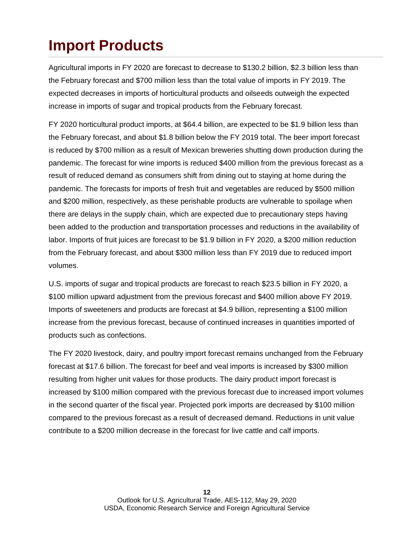### **Import Products**

Agricultural imports in FY 2020 are forecast to decrease to \$130.2 billion, \$2.3 billion less than the February forecast and \$700 million less than the total value of imports in FY 2019. The expected decreases in imports of horticultural products and oilseeds outweigh the expected increase in imports of sugar and tropical products from the February forecast.

FY 2020 horticultural product imports, at \$64.4 billion, are expected to be \$1.9 billion less than the February forecast, and about \$1.8 billion below the FY 2019 total. The beer import forecast is reduced by \$700 million as a result of Mexican breweries shutting down production during the pandemic. The forecast for wine imports is reduced \$400 million from the previous forecast as a result of reduced demand as consumers shift from dining out to staying at home during the pandemic. The forecasts for imports of fresh fruit and vegetables are reduced by \$500 million and \$200 million, respectively, as these perishable products are vulnerable to spoilage when there are delays in the supply chain, which are expected due to precautionary steps having been added to the production and transportation processes and reductions in the availability of labor. Imports of fruit juices are forecast to be \$1.9 billion in FY 2020, a \$200 million reduction from the February forecast, and about \$300 million less than FY 2019 due to reduced import volumes.

U.S. imports of sugar and tropical products are forecast to reach \$23.5 billion in FY 2020, a \$100 million upward adjustment from the previous forecast and \$400 million above FY 2019. Imports of sweeteners and products are forecast at \$4.9 billion, representing a \$100 million increase from the previous forecast, because of continued increases in quantities imported of products such as confections.

The FY 2020 livestock, dairy, and poultry import forecast remains unchanged from the February forecast at \$17.6 billion. The forecast for beef and veal imports is increased by \$300 million resulting from higher unit values for those products. The dairy product import forecast is increased by \$100 million compared with the previous forecast due to increased import volumes in the second quarter of the fiscal year. Projected pork imports are decreased by \$100 million compared to the previous forecast as a result of decreased demand. Reductions in unit value contribute to a \$200 million decrease in the forecast for live cattle and calf imports.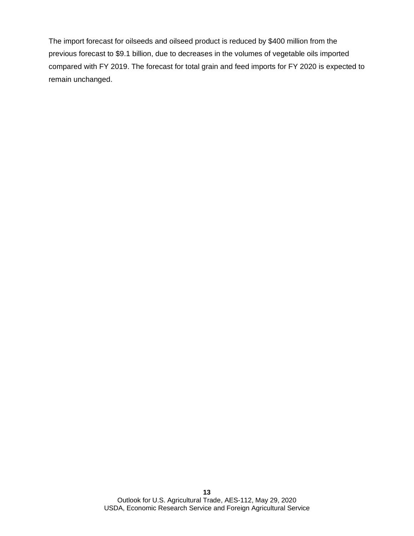The import forecast for oilseeds and oilseed product is reduced by \$400 million from the previous forecast to \$9.1 billion, due to decreases in the volumes of vegetable oils imported compared with FY 2019. The forecast for total grain and feed imports for FY 2020 is expected to remain unchanged.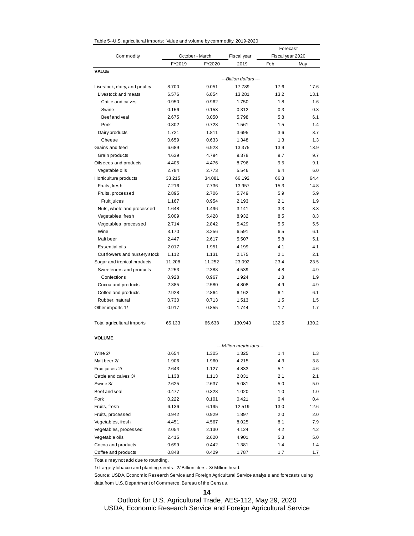| Table 5--U.S. agricultural imports: Value and volume by commodity, 2019-2020 |  |  |  |
|------------------------------------------------------------------------------|--|--|--|
|------------------------------------------------------------------------------|--|--|--|

|                               |        |                 |                           | Forecast         |       |  |  |
|-------------------------------|--------|-----------------|---------------------------|------------------|-------|--|--|
| Commodity                     |        | October - March | Fiscal year               | Fiscal year 2020 |       |  |  |
|                               | FY2019 | FY2020          | 2019                      | Feb.             | May   |  |  |
| <b>VALUE</b>                  |        |                 |                           |                  |       |  |  |
|                               |        |                 | ---Billion dollars ---    |                  |       |  |  |
| Livestock, dairy, and poultry | 8.700  | 9.051           | 17.789                    | 17.6             | 17.6  |  |  |
| Livestock and meats           | 6.576  | 6.854           | 13.281                    | 13.2             | 13.1  |  |  |
| Cattle and calves             | 0.950  | 0.962           | 1.750                     | 1.8              | 1.6   |  |  |
| Swine                         | 0.156  | 0.153           | 0.312                     | 0.3              | 0.3   |  |  |
| Beef and yeal                 | 2.675  | 3.050           | 5.798                     | 5.8              | 6.1   |  |  |
| Pork                          | 0.802  | 0.728           | 1.561                     | 1.5              | 1.4   |  |  |
| Dairy products                | 1.721  | 1.811           | 3.695                     | 3.6              | 3.7   |  |  |
| Cheese                        | 0.659  | 0.633           | 1.348                     | 1.3              | 1.3   |  |  |
| Grains and feed               | 6.689  | 6.923           | 13.375                    | 13.9             | 13.9  |  |  |
| Grain products                | 4.639  | 4.794           | 9.378                     | 9.7              | 9.7   |  |  |
| Oilseeds and products         | 4.405  | 4.476           | 8.796                     | 9.5              | 9.1   |  |  |
| Vegetable oils                | 2.784  | 2.773           | 5.546                     | 6.4              | 6.0   |  |  |
| Horticulture products         | 33.215 | 34.081          | 66.192                    | 66.3             | 64.4  |  |  |
| Fruits, fresh                 | 7.216  | 7.736           | 13.957                    | 15.3             | 14.8  |  |  |
| Fruits, processed             | 2.895  | 2.706           | 5.749                     | 5.9              | 5.9   |  |  |
| Fruit juices                  | 1.167  | 0.954           | 2.193                     | 2.1              | 1.9   |  |  |
| Nuts, whole and processed     | 1.648  | 1.496           | 3.141                     | 3.3              | 3.3   |  |  |
| Vegetables, fresh             | 5.009  | 5.428           | 8.932                     | 8.5              | 8.3   |  |  |
| Vegetables, processed         | 2.714  | 2.842           | 5.429                     | 5.5              | 5.5   |  |  |
| Wine                          | 3.170  | 3.256           | 6.591                     | 6.5              | 6.1   |  |  |
| Malt beer                     | 2.447  | 2.617           | 5.507                     | 5.8              | 5.1   |  |  |
| Essential oils                | 2.017  | 1.951           | 4.199                     | 4.1              | 4.1   |  |  |
| Cut flowers and nursery stock | 1.112  | 1.131           | 2.175                     | 2.1              | 2.1   |  |  |
| Sugar and tropical products   | 11.208 | 11.252          | 23.092                    | 23.4             | 23.5  |  |  |
| Sweeteners and products       | 2.253  | 2.388           | 4.539                     | 4.8              | 4.9   |  |  |
| Confections                   | 0.928  | 0.967           | 1.924                     | 1.8              | 1.9   |  |  |
| Cocoa and products            | 2.385  | 2.580           | 4.808                     | 4.9              | 4.9   |  |  |
| Coffee and products           | 2.928  | 2.864           | 6.162                     | 6.1              | 6.1   |  |  |
| Rubber, natural               | 0.730  | 0.713           | 1.513                     | 1.5              | 1.5   |  |  |
| Other imports 1/              | 0.917  | 0.855           | 1.744                     | 1.7              | 1.7   |  |  |
| Total agricultural imports    | 65.133 | 66.638          | 130.943                   | 132.5            | 130.2 |  |  |
| <b>VOLUME</b>                 |        |                 |                           |                  |       |  |  |
|                               |        |                 | ---Million metric tons--- |                  |       |  |  |
| Wine 2/                       | 0.654  | 1.305           | 1.325                     | 1.4              | 1.3   |  |  |
| Malt beer 2/                  | 1.906  | 1.960           | 4.215                     | 4.3              | 3.8   |  |  |
| Fruit juices 2/               | 2.643  | 1.127           | 4.833                     | 5.1              | 4.6   |  |  |
| Cattle and calves 3/          | 1.138  | 1.113           | 2.031                     | 2.1              | 2.1   |  |  |
| Swine 3/                      | 2.625  | 2.637           | 5.081                     | 5.0              | 5.0   |  |  |
| Beef and veal                 | 0.477  | 0.328           | 1.020                     | 1.0              | 1.0   |  |  |
| Pork                          | 0.222  | 0.101           | 0.421                     | 0.4              | 0.4   |  |  |
| Fruits, fresh                 | 6.136  | 6.195           | 12.519                    | 13.0             | 12.6  |  |  |
| Fruits, processed             | 0.942  | 0.929           | 1.897                     | 2.0              | 2.0   |  |  |
| Vegetables, fresh             | 4.451  | 4.567           | 8.025                     | 8.1              | 7.9   |  |  |
| Vegetables, processed         | 2.054  | 2.130           | 4.124                     | 4.2              | 4.2   |  |  |
| Vegetable oils                | 2.415  | 2.620           | 4.901                     | 5.3              | 5.0   |  |  |
| Cocoa and products            | 0.699  | 0.442           | 1.381                     | 1.4              | 1.4   |  |  |
| Coffee and products           | 0.848  | 0.429           | 1.787                     | 1.7              | 1.7   |  |  |

Totals may not add due to rounding.

1/ Largely tobacco and planting seeds. 2/ Billion liters. 3/ Million head.

Source: USDA, Economic Research Service and Foreign Agricultural Service analysis and forecasts using data from U.S. Department of Commerce, Bureau of the Census.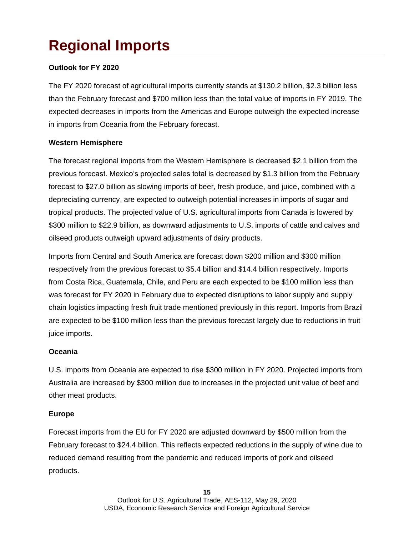# **Regional Imports**

### **Outlook for FY 2020**

The FY 2020 forecast of agricultural imports currently stands at \$130.2 billion, \$2.3 billion less than the February forecast and \$700 million less than the total value of imports in FY 2019. The expected decreases in imports from the Americas and Europe outweigh the expected increase in imports from Oceania from the February forecast.

### **Western Hemisphere**

The forecast regional imports from the Western Hemisphere is decreased \$2.1 billion from the previous forecast. Mexico's projected sales total is decreased by \$1.3 billion from the February forecast to \$27.0 billion as slowing imports of beer, fresh produce, and juice, combined with a depreciating currency, are expected to outweigh potential increases in imports of sugar and tropical products. The projected value of U.S. agricultural imports from Canada is lowered by \$300 million to \$22.9 billion, as downward adjustments to U.S. imports of cattle and calves and oilseed products outweigh upward adjustments of dairy products.

Imports from Central and South America are forecast down \$200 million and \$300 million respectively from the previous forecast to \$5.4 billion and \$14.4 billion respectively. Imports from Costa Rica, Guatemala, Chile, and Peru are each expected to be \$100 million less than was forecast for FY 2020 in February due to expected disruptions to labor supply and supply chain logistics impacting fresh fruit trade mentioned previously in this report. Imports from Brazil are expected to be \$100 million less than the previous forecast largely due to reductions in fruit juice imports.

### **Oceania**

U.S. imports from Oceania are expected to rise \$300 million in FY 2020. Projected imports from Australia are increased by \$300 million due to increases in the projected unit value of beef and other meat products.

#### **Europe**

Forecast imports from the EU for FY 2020 are adjusted downward by \$500 million from the February forecast to \$24.4 billion. This reflects expected reductions in the supply of wine due to reduced demand resulting from the pandemic and reduced imports of pork and oilseed products.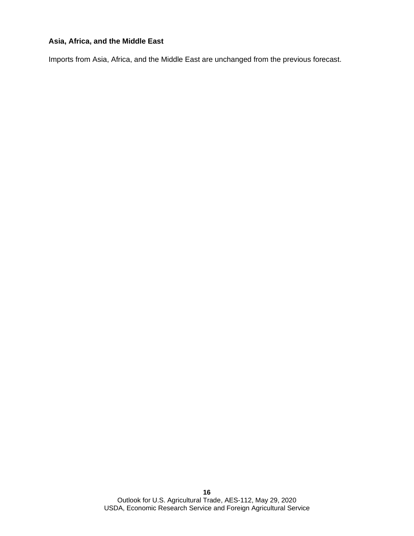### **Asia, Africa, and the Middle East**

Imports from Asia, Africa, and the Middle East are unchanged from the previous forecast.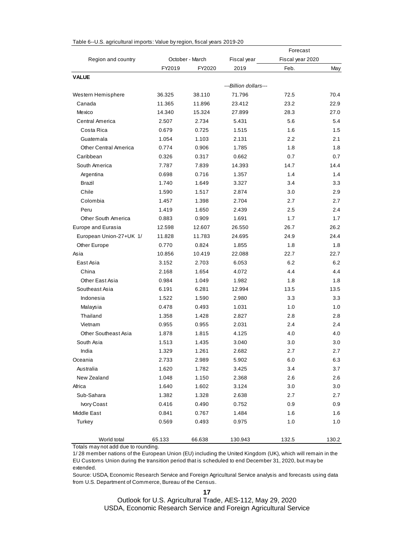|                              |        |                 |                       | Forecast         |       |
|------------------------------|--------|-----------------|-----------------------|------------------|-------|
| Region and country           |        | October - March | Fiscal year           | Fiscal year 2020 |       |
|                              | FY2019 | FY2020          | 2019                  | Feb.             | May   |
| <b>VALUE</b>                 |        |                 |                       |                  |       |
|                              |        |                 | ---Billion dollars--- |                  |       |
| Western Hemisphere           | 36.325 | 38.110          | 71.796                | 72.5             | 70.4  |
| Canada                       | 11.365 | 11.896          | 23.412                | 23.2             | 22.9  |
| Mexico                       | 14.340 | 15.324          | 27.899                | 28.3             | 27.0  |
| Central America              | 2.507  | 2.734           | 5.431                 | 5.6              | 5.4   |
| Costa Rica                   | 0.679  | 0.725           | 1.515                 | 1.6              | 1.5   |
| Guatemala                    | 1.054  | 1.103           | 2.131                 | 2.2              | 2.1   |
| <b>Other Central America</b> | 0.774  | 0.906           | 1.785                 | 1.8              | 1.8   |
| Caribbean                    | 0.326  | 0.317           | 0.662                 | 0.7              | 0.7   |
| South America                | 7.787  | 7.839           | 14.393                | 14.7             | 14.4  |
| Argentina                    | 0.698  | 0.716           | 1.357                 | 1.4              | 1.4   |
| <b>Brazil</b>                | 1.740  | 1.649           | 3.327                 | 3.4              | 3.3   |
| Chile                        | 1.590  | 1.517           | 2.874                 | 3.0              | 2.9   |
| Colombia                     | 1.457  | 1.398           | 2.704                 | 2.7              | 2.7   |
| Peru                         | 1.419  | 1.650           | 2.439                 | 2.5              | 2.4   |
| Other South America          | 0.883  | 0.909           | 1.691                 | 1.7              | 1.7   |
| <b>Europe and Eurasia</b>    | 12.598 | 12.607          | 26.550                | 26.7             | 26.2  |
| European Union-27+UK 1/      | 11.828 | 11.783          | 24.695                | 24.9             | 24.4  |
| Other Europe                 | 0.770  | 0.824           | 1.855                 | 1.8              | 1.8   |
| Asia                         | 10.856 | 10.419          | 22.088                | 22.7             | 22.7  |
| East Asia                    | 3.152  | 2.703           | 6.053                 | 6.2              | 6.2   |
| China                        | 2.168  | 1.654           | 4.072                 | 4.4              | 4.4   |
| Other East Asia              | 0.984  | 1.049           | 1.982                 | 1.8              | 1.8   |
| Southeast Asia               | 6.191  | 6.281           | 12.994                | 13.5             | 13.5  |
| Indonesia                    | 1.522  | 1.590           | 2.980                 | 3.3              | 3.3   |
| Malaysia                     | 0.478  | 0.493           | 1.031                 | 1.0              | 1.0   |
| Thailand                     | 1.358  | 1.428           | 2.827                 | 2.8              | 2.8   |
| Vietnam                      | 0.955  | 0.955           | 2.031                 | 2.4              | 2.4   |
| <b>Other Southeast Asia</b>  | 1.878  | 1.815           | 4.125                 | 4.0              | 4.0   |
| South Asia                   | 1.513  | 1.435           | 3.040                 | 3.0              | 3.0   |
| India                        | 1.329  | 1.261           | 2.682                 | 2.7              | 2.7   |
| Oceania                      | 2.733  | 2.989           | 5.902                 | 6.0              | 6.3   |
| Australia                    | 1.620  | 1.782           | 3.425                 | 3.4              | 3.7   |
| New Zealand                  | 1.048  | 1.150           | 2.368                 | 2.6              | 2.6   |
| Africa                       | 1.640  | 1.602           | 3.124                 | 3.0              | 3.0   |
| Sub-Sahara                   | 1.382  | 1.328           | 2.638                 | 2.7              | 2.7   |
| Ivory Coast                  | 0.416  | 0.490           | 0.752                 | 0.9              | 0.9   |
| Middle East                  | 0.841  | 0.767           | 1.484                 | 1.6              | 1.6   |
| Turkey                       | 0.569  | 0.493           | 0.975                 | 1.0              | 1.0   |
|                              |        |                 |                       |                  |       |
| World total                  | 65.133 | 66.638          | 130.943               | 132.5            | 130.2 |

#### Table 6--U.S. agricultural imports: Value by region, fiscal years 2019-20

Totals may not add due to rounding.

1/ 28 member nations of the European Union (EU) including the United Kingdom (UK), which will remain in the EU Customs Union during the transition period that is scheduled to end December 31, 2020, but may be extended.

Source: USDA, Economic Research Service and Foreign Agricultural Service analysis and forecasts using data from U.S. Department of Commerce, Bureau of the Census.

**17**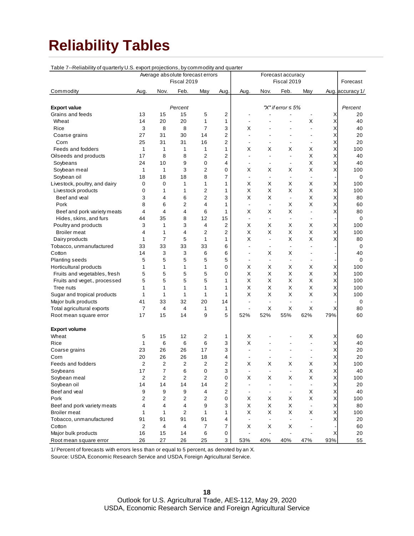### **Reliability Tables**

| Average absolute forecast errors<br>Forecast accuracy<br>Forecast<br>Fiscal 2019<br>Fiscal 2019<br>Commodity<br>Nov.<br>Feb.<br>May<br>Aug.<br>Nov.<br>Feb.<br>Aug.<br>Aug.<br>May<br>Aug. accuracy 1/<br>Percent<br>"X" if error $\leq 5\%$<br><b>Export value</b><br>Percent<br>2<br>Grains and feeds<br>13<br>15<br>15<br>5<br>Χ<br>20<br>÷,<br>14<br>20<br>1<br>Х<br>Χ<br>Wheat<br>20<br>1<br>40<br>$\blacksquare$<br>Rice<br>3<br>8<br>8<br>7<br>3<br>Χ<br>х<br>$\overline{\phantom{a}}$<br>40<br>2<br>Χ<br>27<br>31<br>30<br>20<br>Coarse grains<br>14<br>ä,<br>÷,<br>25<br>31<br>31<br>16<br>2<br>Χ<br>20<br>Corn<br>÷,<br>÷,<br>Feeds and fodders<br>1<br>1<br>1<br>1<br>1<br>X<br>Χ<br>X<br>Х<br>Χ<br>100<br>8<br>$\overline{2}$<br>2<br>X<br>Oilseeds and products<br>17<br>8<br>Χ<br>40<br>$\overline{\phantom{a}}$<br>$\blacksquare$<br>$\blacksquare$<br>10<br>9<br>Х<br>Χ<br>Soybeans<br>24<br>0<br>4<br>40<br>$\blacksquare$<br>$\blacksquare$<br>$\blacksquare$<br>3<br>$\overline{2}$<br>X<br>Χ<br>1<br>1<br>0<br>Х<br>X<br>X<br>Soybean meal<br>100<br>18<br>18<br>18<br>8<br>7<br>Soybean oil<br>0<br>$\overline{\phantom{a}}$<br>$\overline{a}$<br>$\blacksquare$<br>$\overline{\phantom{a}}$<br>$\mathbf 0$<br>X<br>X<br>Χ<br>Livestock, poultry, and dairy<br>0<br>1<br>1<br>1<br>Х<br>х<br>100<br>X<br>X<br>1<br>2<br>Х<br>X<br>Χ<br>Livestock products<br>0<br>1<br>1<br>100<br>6<br>$\overline{2}$<br>3<br>X<br>X<br>3<br>4<br>X<br>Χ<br>Beef and yeal<br>80<br>$\blacksquare$<br>2<br>X<br>8<br>6<br>4<br>Χ<br>Pork<br>1<br>х<br>60<br>$\blacksquare$<br>$\overline{\phantom{a}}$<br>4<br>4<br>6<br>X<br>X<br>X<br>Χ<br>Beef and pork variety meats<br>4<br>1<br>80<br>÷,<br>35<br>8<br>12<br>15<br>Hides, skins, and furs<br>44<br>0<br>$\overline{\phantom{a}}$<br>$\overline{\phantom{a}}$<br>3<br>3<br>4<br>2<br>X<br>X<br>100<br>Poultry and products<br>1<br>Х<br>Х<br>Χ<br>X<br>X<br>2<br>Х<br>Х<br>Χ<br><b>Broiler meat</b><br>4<br>1<br>4<br>2<br>100<br>$\overline{7}$<br>5<br>Χ<br>X<br>1<br>1<br>Х<br>Χ<br>Dairy products<br>1<br>80<br>$\overline{a}$<br>33<br>33<br>33<br>33<br>6<br>Tobacco, unmanufactured<br>0<br>÷,<br>ä,<br>÷,<br>$\blacksquare$<br>14<br>3<br>3<br>6<br>6<br>X<br>Х<br>Cotton<br>40<br>$\overline{\phantom{a}}$<br>$\overline{\phantom{a}}$<br>5<br>5<br>5<br>5<br>5<br><b>Planting seeds</b><br>0<br>$\overline{a}$<br>$\overline{\phantom{a}}$<br>÷,<br>$\overline{\phantom{a}}$<br>1<br>$\mathbf{1}$<br>1<br>1<br>0<br>X<br>Х<br>X<br>Horticultural products<br>Х<br>Χ<br>100<br>5<br>5<br>5<br>5<br>0<br>Х<br>X<br>Х<br>X<br>Χ<br>Fruits and vegetables, fresh<br>100<br>5<br>5<br>5<br>5<br>X<br>X<br>X<br>Χ<br>1<br>х<br>100<br>Fruits and veget., processed<br>X<br>X<br>Χ<br>X<br>1<br>$\mathbf{1}$<br>1<br>1<br>Χ<br>Tree nuts<br>1<br>100<br>X<br>X<br>1<br>$\mathbf{1}$<br>1<br>Х<br>X<br>Χ<br>100<br>Sugar and tropical products<br>1<br>1<br>41<br>33<br>32<br>20<br>14<br>Major bulk products<br>0<br>$\overline{\phantom{a}}$<br>$\blacksquare$<br>$\blacksquare$<br>$\overline{\phantom{a}}$<br>4<br>X<br>X<br>X<br>Χ<br>Total agricultural exports<br>7<br>4<br>1<br>1<br>80<br>$\blacksquare$<br>9<br>5<br>79%<br>17<br>15<br>52%<br>52%<br>55%<br>62%<br>14<br>60<br>Root mean square error<br><b>Export volume</b><br>5<br>15<br>12<br>2<br>1<br>X<br>X<br>60<br>Wheat<br>Χ<br>6<br>6<br>6<br>3<br>Х<br>40<br>Rice<br>1<br>Х<br>$\blacksquare$<br>23<br>26<br>26<br>17<br>3<br>Coarse grains<br>Χ<br>20<br>$\overline{\phantom{a}}$<br>$\overline{\phantom{a}}$<br>26<br>26<br>18<br>4<br>20<br>Χ<br>20<br>Corn<br>$\overline{\phantom{a}}$<br>$\blacksquare$<br>2<br>$\overline{2}$<br>$\overline{2}$<br>2<br>2<br>X<br>Х<br>X<br>X<br>X<br>Feeds and fodders<br>100<br>17<br>40<br>Soybeans<br>7<br>6<br>0<br>3<br>х<br>Χ<br>2<br>$\overline{c}$<br>$\overline{2}$<br>$\overline{2}$<br>Χ<br>Soybean meal<br>X<br>X<br>X<br>Χ<br>100<br>0<br>Soybean oil<br>14<br>14<br>14<br>14<br>2<br>Χ<br>20<br>$\blacksquare$<br>$\overline{a}$<br>$\overline{\phantom{a}}$<br>$\overline{\phantom{a}}$<br>Beef and veal<br>9<br>9<br>9<br>2<br>X<br>40<br>4<br>Χ<br>$\blacksquare$<br>$\overline{\phantom{a}}$<br>$\blacksquare$<br>Pork<br>2<br>2<br>$\mathbf{2}$<br>X<br>2<br>0<br>Χ<br>X<br>х<br>Х<br>100<br>4<br>9<br>X<br>X<br>X<br>4<br>4<br>3<br>Χ<br>80<br>Beef and pork variety meats<br>$\blacksquare$<br>$\overline{2}$<br>X<br>X<br>X<br><b>Broiler</b> meat<br>1<br>$\mathbf{1}$<br>X<br>Χ<br>100<br>1<br>1<br>91<br>91<br>91<br>91<br>20<br>Tobacco, unmanufactured<br>4<br>Χ<br>$\overline{a}$<br>$\blacksquare$<br>7<br>2<br>4<br>4<br>$\overline{7}$<br>X<br>X<br>Cotton<br>Х<br>60<br>6<br>Major bulk products<br>16<br>15<br>14<br>0<br>Χ<br>20<br>$\blacksquare$<br>$\overline{a}$<br>ä,<br>$\overline{\phantom{a}}$<br>27<br>3<br>93%<br>26<br>26<br>25<br>53%<br>40%<br>40%<br>47%<br>55<br>Root mean square error | Table 7--Reliability of quarterly U.S. export projections, by commodity and quarter |  |  |  |  |  |  |
|--------------------------------------------------------------------------------------------------------------------------------------------------------------------------------------------------------------------------------------------------------------------------------------------------------------------------------------------------------------------------------------------------------------------------------------------------------------------------------------------------------------------------------------------------------------------------------------------------------------------------------------------------------------------------------------------------------------------------------------------------------------------------------------------------------------------------------------------------------------------------------------------------------------------------------------------------------------------------------------------------------------------------------------------------------------------------------------------------------------------------------------------------------------------------------------------------------------------------------------------------------------------------------------------------------------------------------------------------------------------------------------------------------------------------------------------------------------------------------------------------------------------------------------------------------------------------------------------------------------------------------------------------------------------------------------------------------------------------------------------------------------------------------------------------------------------------------------------------------------------------------------------------------------------------------------------------------------------------------------------------------------------------------------------------------------------------------------------------------------------------------------------------------------------------------------------------------------------------------------------------------------------------------------------------------------------------------------------------------------------------------------------------------------------------------------------------------------------------------------------------------------------------------------------------------------------------------------------------------------------------------------------------------------------------------------------------------------------------------------------------------------------------------------------------------------------------------------------------------------------------------------------------------------------------------------------------------------------------------------------------------------------------------------------------------------------------------------------------------------------------------------------------------------------------------------------------------------------------------------------------------------------------------------------------------------------------------------------------------------------------------------------------------------------------------------------------------------------------------------------------------------------------------------------------------------------------------------------------------------------------------------------------------------------------------------------------------------------------------------------------------------------------------------------------------------------------------------------------------------------------------------------------------------------------------------------------------------------------------------------------------------------------------------------------------------------------------------------------------------------------------------------------------------------------------------------------------------------------------------------------------------------------------------------------------------------------------------------------------------------------------------------------------------------------------------------------------------------------------------------------------------------------------------------------------------------------------------------------------------------------------------------------------------------------------------------------------------------------------------------------------------------------------------------------------------------------------------------------------------------------------------------------------------------|-------------------------------------------------------------------------------------|--|--|--|--|--|--|
|                                                                                                                                                                                                                                                                                                                                                                                                                                                                                                                                                                                                                                                                                                                                                                                                                                                                                                                                                                                                                                                                                                                                                                                                                                                                                                                                                                                                                                                                                                                                                                                                                                                                                                                                                                                                                                                                                                                                                                                                                                                                                                                                                                                                                                                                                                                                                                                                                                                                                                                                                                                                                                                                                                                                                                                                                                                                                                                                                                                                                                                                                                                                                                                                                                                                                                                                                                                                                                                                                                                                                                                                                                                                                                                                                                                                                                                                                                                                                                                                                                                                                                                                                                                                                                                                                                                                                                                                                                                                                                                                                                                                                                                                                                                                                                                                                                                                                                                    |                                                                                     |  |  |  |  |  |  |
|                                                                                                                                                                                                                                                                                                                                                                                                                                                                                                                                                                                                                                                                                                                                                                                                                                                                                                                                                                                                                                                                                                                                                                                                                                                                                                                                                                                                                                                                                                                                                                                                                                                                                                                                                                                                                                                                                                                                                                                                                                                                                                                                                                                                                                                                                                                                                                                                                                                                                                                                                                                                                                                                                                                                                                                                                                                                                                                                                                                                                                                                                                                                                                                                                                                                                                                                                                                                                                                                                                                                                                                                                                                                                                                                                                                                                                                                                                                                                                                                                                                                                                                                                                                                                                                                                                                                                                                                                                                                                                                                                                                                                                                                                                                                                                                                                                                                                                                    |                                                                                     |  |  |  |  |  |  |
|                                                                                                                                                                                                                                                                                                                                                                                                                                                                                                                                                                                                                                                                                                                                                                                                                                                                                                                                                                                                                                                                                                                                                                                                                                                                                                                                                                                                                                                                                                                                                                                                                                                                                                                                                                                                                                                                                                                                                                                                                                                                                                                                                                                                                                                                                                                                                                                                                                                                                                                                                                                                                                                                                                                                                                                                                                                                                                                                                                                                                                                                                                                                                                                                                                                                                                                                                                                                                                                                                                                                                                                                                                                                                                                                                                                                                                                                                                                                                                                                                                                                                                                                                                                                                                                                                                                                                                                                                                                                                                                                                                                                                                                                                                                                                                                                                                                                                                                    |                                                                                     |  |  |  |  |  |  |
|                                                                                                                                                                                                                                                                                                                                                                                                                                                                                                                                                                                                                                                                                                                                                                                                                                                                                                                                                                                                                                                                                                                                                                                                                                                                                                                                                                                                                                                                                                                                                                                                                                                                                                                                                                                                                                                                                                                                                                                                                                                                                                                                                                                                                                                                                                                                                                                                                                                                                                                                                                                                                                                                                                                                                                                                                                                                                                                                                                                                                                                                                                                                                                                                                                                                                                                                                                                                                                                                                                                                                                                                                                                                                                                                                                                                                                                                                                                                                                                                                                                                                                                                                                                                                                                                                                                                                                                                                                                                                                                                                                                                                                                                                                                                                                                                                                                                                                                    |                                                                                     |  |  |  |  |  |  |
|                                                                                                                                                                                                                                                                                                                                                                                                                                                                                                                                                                                                                                                                                                                                                                                                                                                                                                                                                                                                                                                                                                                                                                                                                                                                                                                                                                                                                                                                                                                                                                                                                                                                                                                                                                                                                                                                                                                                                                                                                                                                                                                                                                                                                                                                                                                                                                                                                                                                                                                                                                                                                                                                                                                                                                                                                                                                                                                                                                                                                                                                                                                                                                                                                                                                                                                                                                                                                                                                                                                                                                                                                                                                                                                                                                                                                                                                                                                                                                                                                                                                                                                                                                                                                                                                                                                                                                                                                                                                                                                                                                                                                                                                                                                                                                                                                                                                                                                    |                                                                                     |  |  |  |  |  |  |
|                                                                                                                                                                                                                                                                                                                                                                                                                                                                                                                                                                                                                                                                                                                                                                                                                                                                                                                                                                                                                                                                                                                                                                                                                                                                                                                                                                                                                                                                                                                                                                                                                                                                                                                                                                                                                                                                                                                                                                                                                                                                                                                                                                                                                                                                                                                                                                                                                                                                                                                                                                                                                                                                                                                                                                                                                                                                                                                                                                                                                                                                                                                                                                                                                                                                                                                                                                                                                                                                                                                                                                                                                                                                                                                                                                                                                                                                                                                                                                                                                                                                                                                                                                                                                                                                                                                                                                                                                                                                                                                                                                                                                                                                                                                                                                                                                                                                                                                    |                                                                                     |  |  |  |  |  |  |
|                                                                                                                                                                                                                                                                                                                                                                                                                                                                                                                                                                                                                                                                                                                                                                                                                                                                                                                                                                                                                                                                                                                                                                                                                                                                                                                                                                                                                                                                                                                                                                                                                                                                                                                                                                                                                                                                                                                                                                                                                                                                                                                                                                                                                                                                                                                                                                                                                                                                                                                                                                                                                                                                                                                                                                                                                                                                                                                                                                                                                                                                                                                                                                                                                                                                                                                                                                                                                                                                                                                                                                                                                                                                                                                                                                                                                                                                                                                                                                                                                                                                                                                                                                                                                                                                                                                                                                                                                                                                                                                                                                                                                                                                                                                                                                                                                                                                                                                    |                                                                                     |  |  |  |  |  |  |
|                                                                                                                                                                                                                                                                                                                                                                                                                                                                                                                                                                                                                                                                                                                                                                                                                                                                                                                                                                                                                                                                                                                                                                                                                                                                                                                                                                                                                                                                                                                                                                                                                                                                                                                                                                                                                                                                                                                                                                                                                                                                                                                                                                                                                                                                                                                                                                                                                                                                                                                                                                                                                                                                                                                                                                                                                                                                                                                                                                                                                                                                                                                                                                                                                                                                                                                                                                                                                                                                                                                                                                                                                                                                                                                                                                                                                                                                                                                                                                                                                                                                                                                                                                                                                                                                                                                                                                                                                                                                                                                                                                                                                                                                                                                                                                                                                                                                                                                    |                                                                                     |  |  |  |  |  |  |
|                                                                                                                                                                                                                                                                                                                                                                                                                                                                                                                                                                                                                                                                                                                                                                                                                                                                                                                                                                                                                                                                                                                                                                                                                                                                                                                                                                                                                                                                                                                                                                                                                                                                                                                                                                                                                                                                                                                                                                                                                                                                                                                                                                                                                                                                                                                                                                                                                                                                                                                                                                                                                                                                                                                                                                                                                                                                                                                                                                                                                                                                                                                                                                                                                                                                                                                                                                                                                                                                                                                                                                                                                                                                                                                                                                                                                                                                                                                                                                                                                                                                                                                                                                                                                                                                                                                                                                                                                                                                                                                                                                                                                                                                                                                                                                                                                                                                                                                    |                                                                                     |  |  |  |  |  |  |
|                                                                                                                                                                                                                                                                                                                                                                                                                                                                                                                                                                                                                                                                                                                                                                                                                                                                                                                                                                                                                                                                                                                                                                                                                                                                                                                                                                                                                                                                                                                                                                                                                                                                                                                                                                                                                                                                                                                                                                                                                                                                                                                                                                                                                                                                                                                                                                                                                                                                                                                                                                                                                                                                                                                                                                                                                                                                                                                                                                                                                                                                                                                                                                                                                                                                                                                                                                                                                                                                                                                                                                                                                                                                                                                                                                                                                                                                                                                                                                                                                                                                                                                                                                                                                                                                                                                                                                                                                                                                                                                                                                                                                                                                                                                                                                                                                                                                                                                    |                                                                                     |  |  |  |  |  |  |
|                                                                                                                                                                                                                                                                                                                                                                                                                                                                                                                                                                                                                                                                                                                                                                                                                                                                                                                                                                                                                                                                                                                                                                                                                                                                                                                                                                                                                                                                                                                                                                                                                                                                                                                                                                                                                                                                                                                                                                                                                                                                                                                                                                                                                                                                                                                                                                                                                                                                                                                                                                                                                                                                                                                                                                                                                                                                                                                                                                                                                                                                                                                                                                                                                                                                                                                                                                                                                                                                                                                                                                                                                                                                                                                                                                                                                                                                                                                                                                                                                                                                                                                                                                                                                                                                                                                                                                                                                                                                                                                                                                                                                                                                                                                                                                                                                                                                                                                    |                                                                                     |  |  |  |  |  |  |
|                                                                                                                                                                                                                                                                                                                                                                                                                                                                                                                                                                                                                                                                                                                                                                                                                                                                                                                                                                                                                                                                                                                                                                                                                                                                                                                                                                                                                                                                                                                                                                                                                                                                                                                                                                                                                                                                                                                                                                                                                                                                                                                                                                                                                                                                                                                                                                                                                                                                                                                                                                                                                                                                                                                                                                                                                                                                                                                                                                                                                                                                                                                                                                                                                                                                                                                                                                                                                                                                                                                                                                                                                                                                                                                                                                                                                                                                                                                                                                                                                                                                                                                                                                                                                                                                                                                                                                                                                                                                                                                                                                                                                                                                                                                                                                                                                                                                                                                    |                                                                                     |  |  |  |  |  |  |
|                                                                                                                                                                                                                                                                                                                                                                                                                                                                                                                                                                                                                                                                                                                                                                                                                                                                                                                                                                                                                                                                                                                                                                                                                                                                                                                                                                                                                                                                                                                                                                                                                                                                                                                                                                                                                                                                                                                                                                                                                                                                                                                                                                                                                                                                                                                                                                                                                                                                                                                                                                                                                                                                                                                                                                                                                                                                                                                                                                                                                                                                                                                                                                                                                                                                                                                                                                                                                                                                                                                                                                                                                                                                                                                                                                                                                                                                                                                                                                                                                                                                                                                                                                                                                                                                                                                                                                                                                                                                                                                                                                                                                                                                                                                                                                                                                                                                                                                    |                                                                                     |  |  |  |  |  |  |
|                                                                                                                                                                                                                                                                                                                                                                                                                                                                                                                                                                                                                                                                                                                                                                                                                                                                                                                                                                                                                                                                                                                                                                                                                                                                                                                                                                                                                                                                                                                                                                                                                                                                                                                                                                                                                                                                                                                                                                                                                                                                                                                                                                                                                                                                                                                                                                                                                                                                                                                                                                                                                                                                                                                                                                                                                                                                                                                                                                                                                                                                                                                                                                                                                                                                                                                                                                                                                                                                                                                                                                                                                                                                                                                                                                                                                                                                                                                                                                                                                                                                                                                                                                                                                                                                                                                                                                                                                                                                                                                                                                                                                                                                                                                                                                                                                                                                                                                    |                                                                                     |  |  |  |  |  |  |
|                                                                                                                                                                                                                                                                                                                                                                                                                                                                                                                                                                                                                                                                                                                                                                                                                                                                                                                                                                                                                                                                                                                                                                                                                                                                                                                                                                                                                                                                                                                                                                                                                                                                                                                                                                                                                                                                                                                                                                                                                                                                                                                                                                                                                                                                                                                                                                                                                                                                                                                                                                                                                                                                                                                                                                                                                                                                                                                                                                                                                                                                                                                                                                                                                                                                                                                                                                                                                                                                                                                                                                                                                                                                                                                                                                                                                                                                                                                                                                                                                                                                                                                                                                                                                                                                                                                                                                                                                                                                                                                                                                                                                                                                                                                                                                                                                                                                                                                    |                                                                                     |  |  |  |  |  |  |
|                                                                                                                                                                                                                                                                                                                                                                                                                                                                                                                                                                                                                                                                                                                                                                                                                                                                                                                                                                                                                                                                                                                                                                                                                                                                                                                                                                                                                                                                                                                                                                                                                                                                                                                                                                                                                                                                                                                                                                                                                                                                                                                                                                                                                                                                                                                                                                                                                                                                                                                                                                                                                                                                                                                                                                                                                                                                                                                                                                                                                                                                                                                                                                                                                                                                                                                                                                                                                                                                                                                                                                                                                                                                                                                                                                                                                                                                                                                                                                                                                                                                                                                                                                                                                                                                                                                                                                                                                                                                                                                                                                                                                                                                                                                                                                                                                                                                                                                    |                                                                                     |  |  |  |  |  |  |
|                                                                                                                                                                                                                                                                                                                                                                                                                                                                                                                                                                                                                                                                                                                                                                                                                                                                                                                                                                                                                                                                                                                                                                                                                                                                                                                                                                                                                                                                                                                                                                                                                                                                                                                                                                                                                                                                                                                                                                                                                                                                                                                                                                                                                                                                                                                                                                                                                                                                                                                                                                                                                                                                                                                                                                                                                                                                                                                                                                                                                                                                                                                                                                                                                                                                                                                                                                                                                                                                                                                                                                                                                                                                                                                                                                                                                                                                                                                                                                                                                                                                                                                                                                                                                                                                                                                                                                                                                                                                                                                                                                                                                                                                                                                                                                                                                                                                                                                    |                                                                                     |  |  |  |  |  |  |
|                                                                                                                                                                                                                                                                                                                                                                                                                                                                                                                                                                                                                                                                                                                                                                                                                                                                                                                                                                                                                                                                                                                                                                                                                                                                                                                                                                                                                                                                                                                                                                                                                                                                                                                                                                                                                                                                                                                                                                                                                                                                                                                                                                                                                                                                                                                                                                                                                                                                                                                                                                                                                                                                                                                                                                                                                                                                                                                                                                                                                                                                                                                                                                                                                                                                                                                                                                                                                                                                                                                                                                                                                                                                                                                                                                                                                                                                                                                                                                                                                                                                                                                                                                                                                                                                                                                                                                                                                                                                                                                                                                                                                                                                                                                                                                                                                                                                                                                    |                                                                                     |  |  |  |  |  |  |
|                                                                                                                                                                                                                                                                                                                                                                                                                                                                                                                                                                                                                                                                                                                                                                                                                                                                                                                                                                                                                                                                                                                                                                                                                                                                                                                                                                                                                                                                                                                                                                                                                                                                                                                                                                                                                                                                                                                                                                                                                                                                                                                                                                                                                                                                                                                                                                                                                                                                                                                                                                                                                                                                                                                                                                                                                                                                                                                                                                                                                                                                                                                                                                                                                                                                                                                                                                                                                                                                                                                                                                                                                                                                                                                                                                                                                                                                                                                                                                                                                                                                                                                                                                                                                                                                                                                                                                                                                                                                                                                                                                                                                                                                                                                                                                                                                                                                                                                    |                                                                                     |  |  |  |  |  |  |
|                                                                                                                                                                                                                                                                                                                                                                                                                                                                                                                                                                                                                                                                                                                                                                                                                                                                                                                                                                                                                                                                                                                                                                                                                                                                                                                                                                                                                                                                                                                                                                                                                                                                                                                                                                                                                                                                                                                                                                                                                                                                                                                                                                                                                                                                                                                                                                                                                                                                                                                                                                                                                                                                                                                                                                                                                                                                                                                                                                                                                                                                                                                                                                                                                                                                                                                                                                                                                                                                                                                                                                                                                                                                                                                                                                                                                                                                                                                                                                                                                                                                                                                                                                                                                                                                                                                                                                                                                                                                                                                                                                                                                                                                                                                                                                                                                                                                                                                    |                                                                                     |  |  |  |  |  |  |
|                                                                                                                                                                                                                                                                                                                                                                                                                                                                                                                                                                                                                                                                                                                                                                                                                                                                                                                                                                                                                                                                                                                                                                                                                                                                                                                                                                                                                                                                                                                                                                                                                                                                                                                                                                                                                                                                                                                                                                                                                                                                                                                                                                                                                                                                                                                                                                                                                                                                                                                                                                                                                                                                                                                                                                                                                                                                                                                                                                                                                                                                                                                                                                                                                                                                                                                                                                                                                                                                                                                                                                                                                                                                                                                                                                                                                                                                                                                                                                                                                                                                                                                                                                                                                                                                                                                                                                                                                                                                                                                                                                                                                                                                                                                                                                                                                                                                                                                    |                                                                                     |  |  |  |  |  |  |
|                                                                                                                                                                                                                                                                                                                                                                                                                                                                                                                                                                                                                                                                                                                                                                                                                                                                                                                                                                                                                                                                                                                                                                                                                                                                                                                                                                                                                                                                                                                                                                                                                                                                                                                                                                                                                                                                                                                                                                                                                                                                                                                                                                                                                                                                                                                                                                                                                                                                                                                                                                                                                                                                                                                                                                                                                                                                                                                                                                                                                                                                                                                                                                                                                                                                                                                                                                                                                                                                                                                                                                                                                                                                                                                                                                                                                                                                                                                                                                                                                                                                                                                                                                                                                                                                                                                                                                                                                                                                                                                                                                                                                                                                                                                                                                                                                                                                                                                    |                                                                                     |  |  |  |  |  |  |
|                                                                                                                                                                                                                                                                                                                                                                                                                                                                                                                                                                                                                                                                                                                                                                                                                                                                                                                                                                                                                                                                                                                                                                                                                                                                                                                                                                                                                                                                                                                                                                                                                                                                                                                                                                                                                                                                                                                                                                                                                                                                                                                                                                                                                                                                                                                                                                                                                                                                                                                                                                                                                                                                                                                                                                                                                                                                                                                                                                                                                                                                                                                                                                                                                                                                                                                                                                                                                                                                                                                                                                                                                                                                                                                                                                                                                                                                                                                                                                                                                                                                                                                                                                                                                                                                                                                                                                                                                                                                                                                                                                                                                                                                                                                                                                                                                                                                                                                    |                                                                                     |  |  |  |  |  |  |
|                                                                                                                                                                                                                                                                                                                                                                                                                                                                                                                                                                                                                                                                                                                                                                                                                                                                                                                                                                                                                                                                                                                                                                                                                                                                                                                                                                                                                                                                                                                                                                                                                                                                                                                                                                                                                                                                                                                                                                                                                                                                                                                                                                                                                                                                                                                                                                                                                                                                                                                                                                                                                                                                                                                                                                                                                                                                                                                                                                                                                                                                                                                                                                                                                                                                                                                                                                                                                                                                                                                                                                                                                                                                                                                                                                                                                                                                                                                                                                                                                                                                                                                                                                                                                                                                                                                                                                                                                                                                                                                                                                                                                                                                                                                                                                                                                                                                                                                    |                                                                                     |  |  |  |  |  |  |
|                                                                                                                                                                                                                                                                                                                                                                                                                                                                                                                                                                                                                                                                                                                                                                                                                                                                                                                                                                                                                                                                                                                                                                                                                                                                                                                                                                                                                                                                                                                                                                                                                                                                                                                                                                                                                                                                                                                                                                                                                                                                                                                                                                                                                                                                                                                                                                                                                                                                                                                                                                                                                                                                                                                                                                                                                                                                                                                                                                                                                                                                                                                                                                                                                                                                                                                                                                                                                                                                                                                                                                                                                                                                                                                                                                                                                                                                                                                                                                                                                                                                                                                                                                                                                                                                                                                                                                                                                                                                                                                                                                                                                                                                                                                                                                                                                                                                                                                    |                                                                                     |  |  |  |  |  |  |
|                                                                                                                                                                                                                                                                                                                                                                                                                                                                                                                                                                                                                                                                                                                                                                                                                                                                                                                                                                                                                                                                                                                                                                                                                                                                                                                                                                                                                                                                                                                                                                                                                                                                                                                                                                                                                                                                                                                                                                                                                                                                                                                                                                                                                                                                                                                                                                                                                                                                                                                                                                                                                                                                                                                                                                                                                                                                                                                                                                                                                                                                                                                                                                                                                                                                                                                                                                                                                                                                                                                                                                                                                                                                                                                                                                                                                                                                                                                                                                                                                                                                                                                                                                                                                                                                                                                                                                                                                                                                                                                                                                                                                                                                                                                                                                                                                                                                                                                    |                                                                                     |  |  |  |  |  |  |
|                                                                                                                                                                                                                                                                                                                                                                                                                                                                                                                                                                                                                                                                                                                                                                                                                                                                                                                                                                                                                                                                                                                                                                                                                                                                                                                                                                                                                                                                                                                                                                                                                                                                                                                                                                                                                                                                                                                                                                                                                                                                                                                                                                                                                                                                                                                                                                                                                                                                                                                                                                                                                                                                                                                                                                                                                                                                                                                                                                                                                                                                                                                                                                                                                                                                                                                                                                                                                                                                                                                                                                                                                                                                                                                                                                                                                                                                                                                                                                                                                                                                                                                                                                                                                                                                                                                                                                                                                                                                                                                                                                                                                                                                                                                                                                                                                                                                                                                    |                                                                                     |  |  |  |  |  |  |
|                                                                                                                                                                                                                                                                                                                                                                                                                                                                                                                                                                                                                                                                                                                                                                                                                                                                                                                                                                                                                                                                                                                                                                                                                                                                                                                                                                                                                                                                                                                                                                                                                                                                                                                                                                                                                                                                                                                                                                                                                                                                                                                                                                                                                                                                                                                                                                                                                                                                                                                                                                                                                                                                                                                                                                                                                                                                                                                                                                                                                                                                                                                                                                                                                                                                                                                                                                                                                                                                                                                                                                                                                                                                                                                                                                                                                                                                                                                                                                                                                                                                                                                                                                                                                                                                                                                                                                                                                                                                                                                                                                                                                                                                                                                                                                                                                                                                                                                    |                                                                                     |  |  |  |  |  |  |
|                                                                                                                                                                                                                                                                                                                                                                                                                                                                                                                                                                                                                                                                                                                                                                                                                                                                                                                                                                                                                                                                                                                                                                                                                                                                                                                                                                                                                                                                                                                                                                                                                                                                                                                                                                                                                                                                                                                                                                                                                                                                                                                                                                                                                                                                                                                                                                                                                                                                                                                                                                                                                                                                                                                                                                                                                                                                                                                                                                                                                                                                                                                                                                                                                                                                                                                                                                                                                                                                                                                                                                                                                                                                                                                                                                                                                                                                                                                                                                                                                                                                                                                                                                                                                                                                                                                                                                                                                                                                                                                                                                                                                                                                                                                                                                                                                                                                                                                    |                                                                                     |  |  |  |  |  |  |
|                                                                                                                                                                                                                                                                                                                                                                                                                                                                                                                                                                                                                                                                                                                                                                                                                                                                                                                                                                                                                                                                                                                                                                                                                                                                                                                                                                                                                                                                                                                                                                                                                                                                                                                                                                                                                                                                                                                                                                                                                                                                                                                                                                                                                                                                                                                                                                                                                                                                                                                                                                                                                                                                                                                                                                                                                                                                                                                                                                                                                                                                                                                                                                                                                                                                                                                                                                                                                                                                                                                                                                                                                                                                                                                                                                                                                                                                                                                                                                                                                                                                                                                                                                                                                                                                                                                                                                                                                                                                                                                                                                                                                                                                                                                                                                                                                                                                                                                    |                                                                                     |  |  |  |  |  |  |
|                                                                                                                                                                                                                                                                                                                                                                                                                                                                                                                                                                                                                                                                                                                                                                                                                                                                                                                                                                                                                                                                                                                                                                                                                                                                                                                                                                                                                                                                                                                                                                                                                                                                                                                                                                                                                                                                                                                                                                                                                                                                                                                                                                                                                                                                                                                                                                                                                                                                                                                                                                                                                                                                                                                                                                                                                                                                                                                                                                                                                                                                                                                                                                                                                                                                                                                                                                                                                                                                                                                                                                                                                                                                                                                                                                                                                                                                                                                                                                                                                                                                                                                                                                                                                                                                                                                                                                                                                                                                                                                                                                                                                                                                                                                                                                                                                                                                                                                    |                                                                                     |  |  |  |  |  |  |
|                                                                                                                                                                                                                                                                                                                                                                                                                                                                                                                                                                                                                                                                                                                                                                                                                                                                                                                                                                                                                                                                                                                                                                                                                                                                                                                                                                                                                                                                                                                                                                                                                                                                                                                                                                                                                                                                                                                                                                                                                                                                                                                                                                                                                                                                                                                                                                                                                                                                                                                                                                                                                                                                                                                                                                                                                                                                                                                                                                                                                                                                                                                                                                                                                                                                                                                                                                                                                                                                                                                                                                                                                                                                                                                                                                                                                                                                                                                                                                                                                                                                                                                                                                                                                                                                                                                                                                                                                                                                                                                                                                                                                                                                                                                                                                                                                                                                                                                    |                                                                                     |  |  |  |  |  |  |
|                                                                                                                                                                                                                                                                                                                                                                                                                                                                                                                                                                                                                                                                                                                                                                                                                                                                                                                                                                                                                                                                                                                                                                                                                                                                                                                                                                                                                                                                                                                                                                                                                                                                                                                                                                                                                                                                                                                                                                                                                                                                                                                                                                                                                                                                                                                                                                                                                                                                                                                                                                                                                                                                                                                                                                                                                                                                                                                                                                                                                                                                                                                                                                                                                                                                                                                                                                                                                                                                                                                                                                                                                                                                                                                                                                                                                                                                                                                                                                                                                                                                                                                                                                                                                                                                                                                                                                                                                                                                                                                                                                                                                                                                                                                                                                                                                                                                                                                    |                                                                                     |  |  |  |  |  |  |
|                                                                                                                                                                                                                                                                                                                                                                                                                                                                                                                                                                                                                                                                                                                                                                                                                                                                                                                                                                                                                                                                                                                                                                                                                                                                                                                                                                                                                                                                                                                                                                                                                                                                                                                                                                                                                                                                                                                                                                                                                                                                                                                                                                                                                                                                                                                                                                                                                                                                                                                                                                                                                                                                                                                                                                                                                                                                                                                                                                                                                                                                                                                                                                                                                                                                                                                                                                                                                                                                                                                                                                                                                                                                                                                                                                                                                                                                                                                                                                                                                                                                                                                                                                                                                                                                                                                                                                                                                                                                                                                                                                                                                                                                                                                                                                                                                                                                                                                    |                                                                                     |  |  |  |  |  |  |
|                                                                                                                                                                                                                                                                                                                                                                                                                                                                                                                                                                                                                                                                                                                                                                                                                                                                                                                                                                                                                                                                                                                                                                                                                                                                                                                                                                                                                                                                                                                                                                                                                                                                                                                                                                                                                                                                                                                                                                                                                                                                                                                                                                                                                                                                                                                                                                                                                                                                                                                                                                                                                                                                                                                                                                                                                                                                                                                                                                                                                                                                                                                                                                                                                                                                                                                                                                                                                                                                                                                                                                                                                                                                                                                                                                                                                                                                                                                                                                                                                                                                                                                                                                                                                                                                                                                                                                                                                                                                                                                                                                                                                                                                                                                                                                                                                                                                                                                    |                                                                                     |  |  |  |  |  |  |
|                                                                                                                                                                                                                                                                                                                                                                                                                                                                                                                                                                                                                                                                                                                                                                                                                                                                                                                                                                                                                                                                                                                                                                                                                                                                                                                                                                                                                                                                                                                                                                                                                                                                                                                                                                                                                                                                                                                                                                                                                                                                                                                                                                                                                                                                                                                                                                                                                                                                                                                                                                                                                                                                                                                                                                                                                                                                                                                                                                                                                                                                                                                                                                                                                                                                                                                                                                                                                                                                                                                                                                                                                                                                                                                                                                                                                                                                                                                                                                                                                                                                                                                                                                                                                                                                                                                                                                                                                                                                                                                                                                                                                                                                                                                                                                                                                                                                                                                    |                                                                                     |  |  |  |  |  |  |
|                                                                                                                                                                                                                                                                                                                                                                                                                                                                                                                                                                                                                                                                                                                                                                                                                                                                                                                                                                                                                                                                                                                                                                                                                                                                                                                                                                                                                                                                                                                                                                                                                                                                                                                                                                                                                                                                                                                                                                                                                                                                                                                                                                                                                                                                                                                                                                                                                                                                                                                                                                                                                                                                                                                                                                                                                                                                                                                                                                                                                                                                                                                                                                                                                                                                                                                                                                                                                                                                                                                                                                                                                                                                                                                                                                                                                                                                                                                                                                                                                                                                                                                                                                                                                                                                                                                                                                                                                                                                                                                                                                                                                                                                                                                                                                                                                                                                                                                    |                                                                                     |  |  |  |  |  |  |
|                                                                                                                                                                                                                                                                                                                                                                                                                                                                                                                                                                                                                                                                                                                                                                                                                                                                                                                                                                                                                                                                                                                                                                                                                                                                                                                                                                                                                                                                                                                                                                                                                                                                                                                                                                                                                                                                                                                                                                                                                                                                                                                                                                                                                                                                                                                                                                                                                                                                                                                                                                                                                                                                                                                                                                                                                                                                                                                                                                                                                                                                                                                                                                                                                                                                                                                                                                                                                                                                                                                                                                                                                                                                                                                                                                                                                                                                                                                                                                                                                                                                                                                                                                                                                                                                                                                                                                                                                                                                                                                                                                                                                                                                                                                                                                                                                                                                                                                    |                                                                                     |  |  |  |  |  |  |
|                                                                                                                                                                                                                                                                                                                                                                                                                                                                                                                                                                                                                                                                                                                                                                                                                                                                                                                                                                                                                                                                                                                                                                                                                                                                                                                                                                                                                                                                                                                                                                                                                                                                                                                                                                                                                                                                                                                                                                                                                                                                                                                                                                                                                                                                                                                                                                                                                                                                                                                                                                                                                                                                                                                                                                                                                                                                                                                                                                                                                                                                                                                                                                                                                                                                                                                                                                                                                                                                                                                                                                                                                                                                                                                                                                                                                                                                                                                                                                                                                                                                                                                                                                                                                                                                                                                                                                                                                                                                                                                                                                                                                                                                                                                                                                                                                                                                                                                    |                                                                                     |  |  |  |  |  |  |
|                                                                                                                                                                                                                                                                                                                                                                                                                                                                                                                                                                                                                                                                                                                                                                                                                                                                                                                                                                                                                                                                                                                                                                                                                                                                                                                                                                                                                                                                                                                                                                                                                                                                                                                                                                                                                                                                                                                                                                                                                                                                                                                                                                                                                                                                                                                                                                                                                                                                                                                                                                                                                                                                                                                                                                                                                                                                                                                                                                                                                                                                                                                                                                                                                                                                                                                                                                                                                                                                                                                                                                                                                                                                                                                                                                                                                                                                                                                                                                                                                                                                                                                                                                                                                                                                                                                                                                                                                                                                                                                                                                                                                                                                                                                                                                                                                                                                                                                    |                                                                                     |  |  |  |  |  |  |
|                                                                                                                                                                                                                                                                                                                                                                                                                                                                                                                                                                                                                                                                                                                                                                                                                                                                                                                                                                                                                                                                                                                                                                                                                                                                                                                                                                                                                                                                                                                                                                                                                                                                                                                                                                                                                                                                                                                                                                                                                                                                                                                                                                                                                                                                                                                                                                                                                                                                                                                                                                                                                                                                                                                                                                                                                                                                                                                                                                                                                                                                                                                                                                                                                                                                                                                                                                                                                                                                                                                                                                                                                                                                                                                                                                                                                                                                                                                                                                                                                                                                                                                                                                                                                                                                                                                                                                                                                                                                                                                                                                                                                                                                                                                                                                                                                                                                                                                    |                                                                                     |  |  |  |  |  |  |
|                                                                                                                                                                                                                                                                                                                                                                                                                                                                                                                                                                                                                                                                                                                                                                                                                                                                                                                                                                                                                                                                                                                                                                                                                                                                                                                                                                                                                                                                                                                                                                                                                                                                                                                                                                                                                                                                                                                                                                                                                                                                                                                                                                                                                                                                                                                                                                                                                                                                                                                                                                                                                                                                                                                                                                                                                                                                                                                                                                                                                                                                                                                                                                                                                                                                                                                                                                                                                                                                                                                                                                                                                                                                                                                                                                                                                                                                                                                                                                                                                                                                                                                                                                                                                                                                                                                                                                                                                                                                                                                                                                                                                                                                                                                                                                                                                                                                                                                    |                                                                                     |  |  |  |  |  |  |
|                                                                                                                                                                                                                                                                                                                                                                                                                                                                                                                                                                                                                                                                                                                                                                                                                                                                                                                                                                                                                                                                                                                                                                                                                                                                                                                                                                                                                                                                                                                                                                                                                                                                                                                                                                                                                                                                                                                                                                                                                                                                                                                                                                                                                                                                                                                                                                                                                                                                                                                                                                                                                                                                                                                                                                                                                                                                                                                                                                                                                                                                                                                                                                                                                                                                                                                                                                                                                                                                                                                                                                                                                                                                                                                                                                                                                                                                                                                                                                                                                                                                                                                                                                                                                                                                                                                                                                                                                                                                                                                                                                                                                                                                                                                                                                                                                                                                                                                    |                                                                                     |  |  |  |  |  |  |
|                                                                                                                                                                                                                                                                                                                                                                                                                                                                                                                                                                                                                                                                                                                                                                                                                                                                                                                                                                                                                                                                                                                                                                                                                                                                                                                                                                                                                                                                                                                                                                                                                                                                                                                                                                                                                                                                                                                                                                                                                                                                                                                                                                                                                                                                                                                                                                                                                                                                                                                                                                                                                                                                                                                                                                                                                                                                                                                                                                                                                                                                                                                                                                                                                                                                                                                                                                                                                                                                                                                                                                                                                                                                                                                                                                                                                                                                                                                                                                                                                                                                                                                                                                                                                                                                                                                                                                                                                                                                                                                                                                                                                                                                                                                                                                                                                                                                                                                    |                                                                                     |  |  |  |  |  |  |
|                                                                                                                                                                                                                                                                                                                                                                                                                                                                                                                                                                                                                                                                                                                                                                                                                                                                                                                                                                                                                                                                                                                                                                                                                                                                                                                                                                                                                                                                                                                                                                                                                                                                                                                                                                                                                                                                                                                                                                                                                                                                                                                                                                                                                                                                                                                                                                                                                                                                                                                                                                                                                                                                                                                                                                                                                                                                                                                                                                                                                                                                                                                                                                                                                                                                                                                                                                                                                                                                                                                                                                                                                                                                                                                                                                                                                                                                                                                                                                                                                                                                                                                                                                                                                                                                                                                                                                                                                                                                                                                                                                                                                                                                                                                                                                                                                                                                                                                    |                                                                                     |  |  |  |  |  |  |
|                                                                                                                                                                                                                                                                                                                                                                                                                                                                                                                                                                                                                                                                                                                                                                                                                                                                                                                                                                                                                                                                                                                                                                                                                                                                                                                                                                                                                                                                                                                                                                                                                                                                                                                                                                                                                                                                                                                                                                                                                                                                                                                                                                                                                                                                                                                                                                                                                                                                                                                                                                                                                                                                                                                                                                                                                                                                                                                                                                                                                                                                                                                                                                                                                                                                                                                                                                                                                                                                                                                                                                                                                                                                                                                                                                                                                                                                                                                                                                                                                                                                                                                                                                                                                                                                                                                                                                                                                                                                                                                                                                                                                                                                                                                                                                                                                                                                                                                    |                                                                                     |  |  |  |  |  |  |
|                                                                                                                                                                                                                                                                                                                                                                                                                                                                                                                                                                                                                                                                                                                                                                                                                                                                                                                                                                                                                                                                                                                                                                                                                                                                                                                                                                                                                                                                                                                                                                                                                                                                                                                                                                                                                                                                                                                                                                                                                                                                                                                                                                                                                                                                                                                                                                                                                                                                                                                                                                                                                                                                                                                                                                                                                                                                                                                                                                                                                                                                                                                                                                                                                                                                                                                                                                                                                                                                                                                                                                                                                                                                                                                                                                                                                                                                                                                                                                                                                                                                                                                                                                                                                                                                                                                                                                                                                                                                                                                                                                                                                                                                                                                                                                                                                                                                                                                    |                                                                                     |  |  |  |  |  |  |
|                                                                                                                                                                                                                                                                                                                                                                                                                                                                                                                                                                                                                                                                                                                                                                                                                                                                                                                                                                                                                                                                                                                                                                                                                                                                                                                                                                                                                                                                                                                                                                                                                                                                                                                                                                                                                                                                                                                                                                                                                                                                                                                                                                                                                                                                                                                                                                                                                                                                                                                                                                                                                                                                                                                                                                                                                                                                                                                                                                                                                                                                                                                                                                                                                                                                                                                                                                                                                                                                                                                                                                                                                                                                                                                                                                                                                                                                                                                                                                                                                                                                                                                                                                                                                                                                                                                                                                                                                                                                                                                                                                                                                                                                                                                                                                                                                                                                                                                    |                                                                                     |  |  |  |  |  |  |
|                                                                                                                                                                                                                                                                                                                                                                                                                                                                                                                                                                                                                                                                                                                                                                                                                                                                                                                                                                                                                                                                                                                                                                                                                                                                                                                                                                                                                                                                                                                                                                                                                                                                                                                                                                                                                                                                                                                                                                                                                                                                                                                                                                                                                                                                                                                                                                                                                                                                                                                                                                                                                                                                                                                                                                                                                                                                                                                                                                                                                                                                                                                                                                                                                                                                                                                                                                                                                                                                                                                                                                                                                                                                                                                                                                                                                                                                                                                                                                                                                                                                                                                                                                                                                                                                                                                                                                                                                                                                                                                                                                                                                                                                                                                                                                                                                                                                                                                    |                                                                                     |  |  |  |  |  |  |
|                                                                                                                                                                                                                                                                                                                                                                                                                                                                                                                                                                                                                                                                                                                                                                                                                                                                                                                                                                                                                                                                                                                                                                                                                                                                                                                                                                                                                                                                                                                                                                                                                                                                                                                                                                                                                                                                                                                                                                                                                                                                                                                                                                                                                                                                                                                                                                                                                                                                                                                                                                                                                                                                                                                                                                                                                                                                                                                                                                                                                                                                                                                                                                                                                                                                                                                                                                                                                                                                                                                                                                                                                                                                                                                                                                                                                                                                                                                                                                                                                                                                                                                                                                                                                                                                                                                                                                                                                                                                                                                                                                                                                                                                                                                                                                                                                                                                                                                    |                                                                                     |  |  |  |  |  |  |
|                                                                                                                                                                                                                                                                                                                                                                                                                                                                                                                                                                                                                                                                                                                                                                                                                                                                                                                                                                                                                                                                                                                                                                                                                                                                                                                                                                                                                                                                                                                                                                                                                                                                                                                                                                                                                                                                                                                                                                                                                                                                                                                                                                                                                                                                                                                                                                                                                                                                                                                                                                                                                                                                                                                                                                                                                                                                                                                                                                                                                                                                                                                                                                                                                                                                                                                                                                                                                                                                                                                                                                                                                                                                                                                                                                                                                                                                                                                                                                                                                                                                                                                                                                                                                                                                                                                                                                                                                                                                                                                                                                                                                                                                                                                                                                                                                                                                                                                    |                                                                                     |  |  |  |  |  |  |
|                                                                                                                                                                                                                                                                                                                                                                                                                                                                                                                                                                                                                                                                                                                                                                                                                                                                                                                                                                                                                                                                                                                                                                                                                                                                                                                                                                                                                                                                                                                                                                                                                                                                                                                                                                                                                                                                                                                                                                                                                                                                                                                                                                                                                                                                                                                                                                                                                                                                                                                                                                                                                                                                                                                                                                                                                                                                                                                                                                                                                                                                                                                                                                                                                                                                                                                                                                                                                                                                                                                                                                                                                                                                                                                                                                                                                                                                                                                                                                                                                                                                                                                                                                                                                                                                                                                                                                                                                                                                                                                                                                                                                                                                                                                                                                                                                                                                                                                    |                                                                                     |  |  |  |  |  |  |
|                                                                                                                                                                                                                                                                                                                                                                                                                                                                                                                                                                                                                                                                                                                                                                                                                                                                                                                                                                                                                                                                                                                                                                                                                                                                                                                                                                                                                                                                                                                                                                                                                                                                                                                                                                                                                                                                                                                                                                                                                                                                                                                                                                                                                                                                                                                                                                                                                                                                                                                                                                                                                                                                                                                                                                                                                                                                                                                                                                                                                                                                                                                                                                                                                                                                                                                                                                                                                                                                                                                                                                                                                                                                                                                                                                                                                                                                                                                                                                                                                                                                                                                                                                                                                                                                                                                                                                                                                                                                                                                                                                                                                                                                                                                                                                                                                                                                                                                    |                                                                                     |  |  |  |  |  |  |

1/ Percent of forecasts with errors less than or equal to 5 percent, as denoted by an X.

Source: USDA, Economic Research Service and USDA, Foreign Agricultural Service.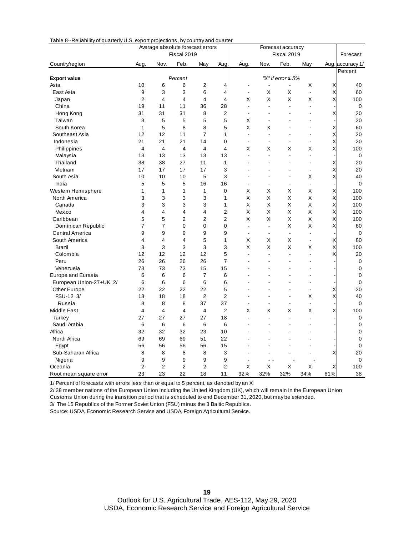| 10000<br><b>The maximity of quarterly 0.0. export projections, by country and quarter</b> |                |                         | Average absolute forecast errors |                |                |                |                | Forecast accuracy       |                          |                          |                  |
|-------------------------------------------------------------------------------------------|----------------|-------------------------|----------------------------------|----------------|----------------|----------------|----------------|-------------------------|--------------------------|--------------------------|------------------|
|                                                                                           |                |                         | Fiscal 2019                      |                |                |                |                | Fiscal 2019             |                          |                          | Forecast         |
| Country/region                                                                            | Aug.           | Nov.                    | Feb.                             | May            | Aug            | Aug.           | Nov.           | Feb.                    | May                      |                          | Aug. accuracy 1/ |
|                                                                                           |                |                         |                                  |                |                |                |                |                         |                          |                          | Percent          |
| <b>Export value</b>                                                                       |                |                         | Percent                          |                |                |                |                | "X" if error $\leq 5\%$ |                          |                          |                  |
| Asia                                                                                      | 10             | 6                       | 6                                | 2              | 4              |                |                |                         | X                        | Χ                        | 40               |
| East Asia                                                                                 | 9              | 3                       | 3                                | 6              | 4              | $\blacksquare$ | X              | Χ                       | $\blacksquare$           | $\times$<br>$\mathsf{x}$ | 60               |
| Japan                                                                                     | $\overline{2}$ | 4                       | 4                                | 4              | 4              | X              | X              | X                       | X                        |                          | 100              |
| China                                                                                     | 19             | 11                      | 11                               | 36             | 28             | $\overline{a}$ |                |                         | ÷.                       |                          | 0                |
| Hong Kong                                                                                 | 31             | 31                      | 31                               | 8              | $\overline{2}$ | $\overline{a}$ |                |                         |                          | Χ                        | 20               |
| Taiwan                                                                                    | 3              | 5                       | 5                                | 5              | 5              | X              |                |                         | ÷                        |                          | 20               |
| South Korea                                                                               | 1              | 5                       | 8                                | 8              | 5              | X              | Χ              |                         |                          | Χ                        | 60               |
| Southeast Asia                                                                            | 12             | 12                      | 11                               | $\overline{7}$ | 1              | ÷,             |                |                         | ä,                       | Χ                        | 20               |
| Indonesia                                                                                 | 21             | 21                      | 21                               | 14             | $\mathbf 0$    |                |                |                         |                          | X                        | 20               |
| Philippines                                                                               | $\overline{4}$ | 4                       | $\overline{4}$                   | 4              | 4              | X              | Х              | Х                       | Χ                        | X                        | 100              |
| Malaysia                                                                                  | 13             | 13                      | 13                               | 13             | 13             | $\overline{a}$ | $\overline{a}$ | $\overline{a}$          | ٠                        |                          | 0                |
| Thailand                                                                                  | 38             | 38                      | 27                               | 11             | 1              | ۰              |                |                         | ٠                        | Х                        | 20               |
| Vietnam                                                                                   | 17             | 17                      | 17                               | 17             | 3              |                |                |                         | ÷                        | X                        | 20               |
| South Asia                                                                                | 10             | 10                      | 10                               | 5              | 3              |                |                |                         | X                        | Χ                        | 40               |
| India                                                                                     | 5              | 5                       | 5                                | 16             | 16             | $\blacksquare$ |                |                         | $\ddot{\phantom{a}}$     |                          | 0                |
| Western Hemisphere                                                                        | 1              | $\mathbf{1}$            | 1                                | 1              | $\mathbf 0$    | X              | Х              | Х                       | X                        | Χ                        | 100              |
| North America                                                                             | 3              | 3                       | 3                                | 3              | 1              | X              | Χ              | Χ                       | X                        | X                        | 100              |
| Canada                                                                                    | 3              | 3                       | 3                                | 3              | 1              | X              | X              | X                       | X                        | X                        | 100              |
| Mexico                                                                                    | 4              | $\overline{\mathbf{4}}$ | 4                                | 4              | $\overline{2}$ | X              | X              | X                       | X                        | X                        | 100              |
| Caribbean                                                                                 | 5              | 5                       | $\overline{2}$                   | $\overline{2}$ | $\overline{2}$ | X              | X              | X                       | X                        | X                        | 100              |
| Dominican Republic                                                                        | $\overline{7}$ | $\overline{7}$          | 0                                | $\overline{0}$ | $\Omega$       | $\overline{a}$ | ÷,             | Χ                       | X                        | X                        | 60               |
| Central America                                                                           | 9              | 9                       | 9                                | 9              | 9              | $\blacksquare$ |                | $\sim$                  | $\blacksquare$           |                          | 0                |
| South America                                                                             | 4              | 4                       | 4                                | 5              | 1              | X              | Х              | Х                       | $\overline{\phantom{a}}$ | X                        | 80               |
| Brazil                                                                                    | 3              | 3                       | 3                                | 3              | 3              | X              | X              | Χ                       | X                        | $\mathsf{x}$             | 100              |
| Colombia                                                                                  | 12             | 12                      | 12                               | 12             | 5              | ÷,             |                | ÷.                      | $\overline{a}$           | Χ                        | 20               |
| Peru                                                                                      | 26             | 26                      | 26                               | 26             | 7              |                |                |                         |                          |                          | 0                |
| Venezuela                                                                                 | 73             | 73                      | 73                               | 15             | 15             |                |                |                         |                          |                          | 0                |
| Europe and Eurasia                                                                        | 6              | 6                       | 6                                | 7              | 6              |                |                |                         |                          |                          | 0                |
| European Union-27+UK 2/                                                                   | 6              | 6                       | 6                                | 6              | 6              |                |                |                         | ÷                        |                          | 0                |
| Other Europe                                                                              | 22             | 22                      | 22                               | 22             | 5              |                |                |                         | $\overline{a}$           | X                        | 20               |
| FSU-12 3/                                                                                 | 18             | 18                      | 18                               | $\overline{2}$ | $\overline{2}$ |                |                |                         | Χ                        | X                        | 40               |
| Russia                                                                                    | 8              | 8                       | 8                                | 37             | 37             | $\blacksquare$ |                |                         | $\overline{a}$           |                          | 0                |
| <b>Middle East</b>                                                                        | $\overline{4}$ | 4                       | $\overline{4}$                   | 4              | $\overline{2}$ | Χ              | Χ              | Х                       | X                        | X                        | 100              |
| Turkey                                                                                    | 27             | 27                      | 27                               | 27             | 18             | $\blacksquare$ |                | $\blacksquare$          | $\blacksquare$           |                          | 0                |
| Saudi Arabia                                                                              | 6              | 6                       | 6                                | 6              | 6              |                |                |                         |                          |                          | 0                |
| Africa                                                                                    | 32             | 32                      | 32                               | 23             | 10             |                |                |                         |                          |                          | $\mathbf 0$      |
| North Africa                                                                              | 69             | 69                      | 69                               | 51             | 22             |                |                |                         |                          |                          | 0                |
| Egypt                                                                                     | 56             | 56                      | 56                               | 56             | 15             |                |                |                         |                          |                          | 0                |
| Sub-Saharan Africa                                                                        | 8              | 8                       | 8                                | 8              | 3              |                |                |                         |                          | Χ                        | 20               |
| Nigeria                                                                                   | 9              | 9                       | 9                                | 9              | 9              | L,             |                |                         |                          |                          | 0                |
| Oceania                                                                                   | $\overline{2}$ | $\overline{2}$          | $\overline{2}$                   | $\overline{2}$ | $\overline{2}$ | X              | X              | X                       | X                        | X                        | 100              |
| Root mean square error                                                                    | 23             | 23                      | 22                               | 18             | 11             | 32%            | 32%            | 32%                     | 34%                      | 61%                      | 38               |
| 1/ Depart of forecasts with expre logs than an equal to Engraph as departed by an V       |                |                         |                                  |                |                |                |                |                         |                          |                          |                  |

Table 8--Reliability of quarterly U.S. export projections, by country and quarter

1/ Percent of forecasts with errors less than or equal to 5 percent, as denoted by an X.

2/ 28 member nations of the European Union including the United Kingdom (UK), which will remain in the European Union Customs Union during the transition period that is scheduled to end December 31, 2020, but may be extended.

3/ The 15 Republics of the Former Soviet Union (FSU) minus the 3 Baltic Republics.

Source: USDA, Economic Research Service and USDA, Foreign Agricultural Service.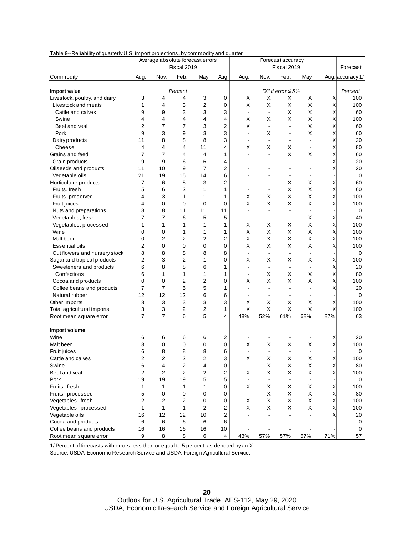| or quarterly offer import projections, by commodity and quarter<br>Average absolute forecast errors |                         |                         |             |                         | Forecast accuracy |                          |                          |                          |                          |     |                  |
|-----------------------------------------------------------------------------------------------------|-------------------------|-------------------------|-------------|-------------------------|-------------------|--------------------------|--------------------------|--------------------------|--------------------------|-----|------------------|
|                                                                                                     |                         |                         | Fiscal 2019 |                         |                   |                          |                          | Fiscal 2019              |                          |     | Forecast         |
| Commodity                                                                                           | Aug.                    | Nov.                    | Feb.        | May                     | Aug.              | Aug.                     | Nov.                     | Feb.                     | May                      |     | Aug. accuracy 1/ |
| Import value                                                                                        |                         |                         | Percent     |                         |                   |                          |                          | "X" if error $\leq 5\%$  |                          |     | Percent          |
| Livestock, poultry, and dairy                                                                       | 3                       | 4                       | 4           | 3                       | 0                 | X                        | X                        | Χ                        | X                        | Χ   | 100              |
| Livestock and meats                                                                                 | 1                       | 4                       | 3           | $\overline{\mathbf{c}}$ | 0                 | X                        | X                        | X                        | X                        | Χ   | 100              |
| Cattle and calves                                                                                   | 9                       | 9                       | 3           | 3                       | 3                 | $\overline{\phantom{a}}$ | $\overline{a}$           | X                        | X                        | Χ   | 60               |
| Swine                                                                                               | 4                       | 4                       | 4           | 4                       | 4                 | X                        | Х                        | Χ                        | X                        | X   | 100              |
| Beef and veal                                                                                       | $\overline{2}$          | $\overline{7}$          | 7           | 3                       | 2                 | X                        | $\overline{\phantom{a}}$ | $\blacksquare$           | X                        | Χ   | 60               |
| Pork                                                                                                | 9                       | 3                       | 9           | 3                       | 3                 | $\overline{a}$           | Х                        | $\blacksquare$           | X                        | Χ   | 60               |
| Dairy products                                                                                      | 11                      | 8                       | 8           | 8                       | 3                 | $\overline{\phantom{0}}$ | $\overline{\phantom{a}}$ | $\overline{\phantom{a}}$ | ä,                       | X   | 20               |
| Cheese                                                                                              | $\overline{4}$          | 4                       | 4           | 11                      | 4                 | X                        | X                        | X                        | $\overline{\phantom{a}}$ | X   | 80               |
| Grains and feed                                                                                     | $\overline{7}$          | $\overline{7}$          | 4           | 4                       | 1                 | $\overline{\phantom{0}}$ | $\overline{\phantom{a}}$ | X                        | Χ                        | X   | 60               |
| Grain products                                                                                      | 9                       | 9                       | 6           | 6                       | 4                 |                          |                          | $\blacksquare$           | ä,                       | X   | 20               |
| Oilseeds and products                                                                               | 11                      | 10                      | 9           | $\overline{7}$          | 2                 |                          |                          | $\blacksquare$           |                          | X   | 20               |
| Vegetable oils                                                                                      | 21                      | 19                      | 15          | 14                      | 6                 |                          |                          | $\overline{\phantom{a}}$ | ä,                       |     | 0                |
| Horticulture products                                                                               | $\overline{7}$          | 6                       | 5           | 3                       | 2                 | $\overline{\phantom{0}}$ |                          | х                        | X                        | Χ   | 60               |
| Fruits, fresh                                                                                       | 5                       | 6                       | 2           | 1                       | 1                 | $\overline{\phantom{0}}$ |                          | Χ                        | X                        | Χ   | 60               |
| Fruits, preserved                                                                                   | 4                       | 3                       | 1           | 1                       | 1                 | X                        | Х                        | X                        | X                        | Χ   | 100              |
| Fruit juices                                                                                        | 4                       | 0                       | 0           | $\mathbf 0$             | 0                 | X                        | X                        | Χ                        | X                        | Χ   | 100              |
| Nuts and preparations                                                                               | 8                       | 8                       | 11          | 11                      | 11                | $\overline{\phantom{0}}$ | L,                       | $\blacksquare$           | $\overline{a}$           |     | 0                |
| Vegetables, fresh                                                                                   | $\overline{7}$          | 7                       | 6           | 5                       | 5                 | $\overline{\phantom{0}}$ |                          | $\overline{\phantom{a}}$ | X                        | Χ   | 40               |
| Vegetables, processed                                                                               | 1                       | 1                       | 1           | 1                       | 1                 | X                        | Х                        | X                        | Χ                        | X   | 100              |
| Wine                                                                                                | $\mathbf 0$             | 0                       | 1           | 1                       | 1                 | X                        | Х                        | X                        | X                        | Χ   | 100              |
| Malt beer                                                                                           | $\mathbf 0$             | 2                       | 2           | 2                       | 2                 | X                        | Х                        | X                        | X                        | Χ   | 100              |
| Essential oils                                                                                      | 2                       | $\mathbf 0$             | 0           | 0                       | 0                 | X                        | Х                        | X                        | X                        | X   | 100              |
| Cut flowers and nursery stock                                                                       | 8                       | 8                       | 8           | 8                       | 8                 | $\blacksquare$           | $\blacksquare$           | $\blacksquare$           |                          |     | 0                |
| Sugar and tropical products                                                                         | 2                       | 3                       | 2           | 1                       | 0                 | X                        | Х                        | X                        | X                        | Χ   | 100              |
| Sweeteners and products                                                                             | 6                       | 8                       | 8           | 6                       | 1                 | $\overline{\phantom{0}}$ | $\blacksquare$           | $\blacksquare$           | $\overline{\phantom{a}}$ | X   | 20               |
| Confections                                                                                         | 6                       | 1                       | 1           | 1                       | 1                 | $\overline{\phantom{0}}$ | Х                        | X                        | X                        | X   | 80               |
| Cocoa and products                                                                                  | $\mathbf 0$             | $\mathbf 0$             | 2           | $\overline{2}$          | 0                 | X                        | Х                        | X                        | X                        | Χ   | 100              |
| Coffee beans and products                                                                           | $\overline{7}$          | $\overline{7}$          | 5           | 5                       | 1                 | $\blacksquare$           |                          | $\blacksquare$           | ÷,                       | X   | 20               |
| Natural rubber                                                                                      | 12                      | 12                      | 12          | 6                       | 6                 | $\overline{\phantom{0}}$ |                          | $\blacksquare$           | ÷,                       |     | 0                |
| Other imports                                                                                       | 3                       | 3                       | 3           | 3                       | 3                 | X                        | Х                        | X                        | X                        | Χ   | 100              |
| Total agricultural imports                                                                          | 3                       | 3                       | 2           | 2                       | 1                 | X                        | Χ                        | X                        | X                        | X   | 100              |
| Root mean square error                                                                              | $\overline{7}$          | $\overline{7}$          | 6           | 5                       | 4                 | 48%                      | 52%                      | 61%                      | 68%                      | 87% | 63               |
| Import volume                                                                                       |                         |                         |             |                         |                   |                          |                          |                          |                          |     |                  |
| Wine                                                                                                | 6                       | 6                       | 6           | 6                       | 2                 |                          |                          |                          |                          | Χ   | 20               |
| Malt beer                                                                                           | 3                       | 0                       | 0           | $\mathbf 0$             | 0                 | X                        | X                        | X                        | X                        | Χ   | 100              |
| Fruit juices                                                                                        | 6                       | 8                       | 8           | 8                       | 6                 | $\overline{\phantom{a}}$ | $\overline{a}$           | $\overline{\phantom{a}}$ |                          |     | 0                |
| Cattle and calves                                                                                   | 2                       | $\overline{\mathbf{c}}$ | 2           | $\overline{\mathbf{c}}$ | 3                 | Х                        | Χ                        | X                        | Χ                        | Χ   | 100              |
| Swine                                                                                               | 6                       | 4                       | 2           | 4                       | 0                 | $\overline{\phantom{a}}$ | X                        | Χ                        | X                        | X   | 80               |
| Beef and veal                                                                                       | $\overline{\mathbf{c}}$ | $\overline{2}$          | 2           | 2                       | 2                 | X                        | Х                        | X                        | Χ                        | Χ   | 100              |
| Pork                                                                                                | 19                      | 19                      | 19          | 5                       | 5                 | $\blacksquare$           | $\overline{\phantom{a}}$ | $\overline{\phantom{a}}$ | $\overline{\phantom{a}}$ |     | 0                |
| Fruits--fresh                                                                                       | 1                       | 1                       | 1           | 1                       | 0                 | X                        | Х                        | X                        | X                        | Χ   | 100              |
| Fruits--processed                                                                                   | 5                       | 0                       | 0           | 0                       | 0                 | $\overline{\phantom{a}}$ | X                        | Χ                        | X                        | Χ   | 80               |
| Vegetables--fresh                                                                                   | $\overline{2}$          | 2                       | 2           | 0                       | 0                 | Χ                        | Х                        | X                        | X                        | Χ   | 100              |
| Vegetables--processed                                                                               | 1                       | 1                       | 1           | 2                       | 2                 | X                        | X                        | X                        | Χ                        | Χ   | 100              |
| Vegetable oils                                                                                      | 16                      | 12                      | 12          | 10                      | 2                 |                          |                          |                          |                          | Χ   | 20               |
| Cocoa and products                                                                                  | 6                       | $\,6\,$                 | 6           | 6                       | 6                 |                          |                          |                          |                          |     | 0                |
| Coffee beans and products                                                                           | 16                      | 16                      | 16          | 16                      | 10                |                          |                          |                          |                          |     | 0                |
| Root mean square error                                                                              | 9                       | 8                       | 8           | 6                       | 4                 | 43%                      | 57%                      | 57%                      | 57%                      | 71% | 57               |
|                                                                                                     |                         |                         |             |                         |                   |                          |                          |                          |                          |     |                  |

#### Table 9--Reliability of quarterly U.S. import projections, by commodity and quarter

1/ Percent of forecasts with errors less than or equal to 5 percent, as denoted by an X.

Source: USDA, Economic Research Service and USDA, Foreign Agricultural Service.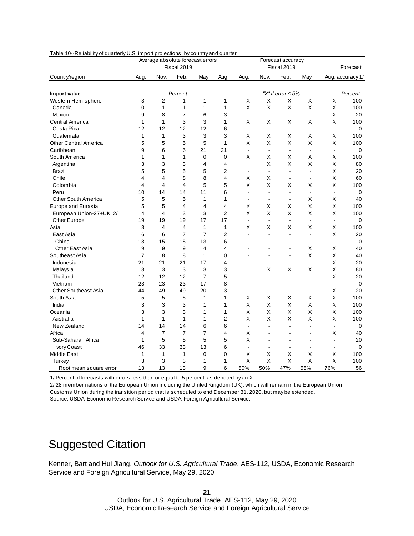|                              |                                  |                | .<br>Average absolute forecast errors | $-$ - $ -$     |                |                                     |                          | Forecast accuracy        |                          |     |                  |
|------------------------------|----------------------------------|----------------|---------------------------------------|----------------|----------------|-------------------------------------|--------------------------|--------------------------|--------------------------|-----|------------------|
|                              |                                  |                | Fiscal 2019                           |                |                |                                     |                          | Fiscal 2019              |                          |     | Forecast         |
| Country/region               | Aug                              | Nov.           | Feb.                                  | May            | Aug            | Aug.                                | Nov.                     | Feb.                     | May                      |     | Aug. accuracy 1/ |
|                              |                                  |                |                                       |                |                |                                     |                          |                          |                          |     |                  |
| Import value                 |                                  |                | Percent                               |                |                |                                     |                          | "X" if error $\leq 5\%$  |                          |     | Percent          |
| Western Hemisphere           | 3                                | $\overline{2}$ | 1                                     | 1              | 1              | X                                   | X                        | Χ                        | X                        | Χ   | 100              |
| Canada                       | $\mathbf 0$                      | 1              | 1                                     | 1              | 1              | $\sf X$                             | Χ                        | X                        | $\pmb{\times}$           | Χ   | 100              |
| Mexico                       | 9                                | 8              | $\overline{7}$                        | 6              | 3              | $\blacksquare$                      |                          | ä,                       |                          | Χ   | 20               |
| Central America              | 1                                | $\mathbf{1}$   | 3                                     | 3              | 1              | X                                   | Х                        | Х                        | X                        | X   | 100              |
| Costa Rica                   | 12                               | 12             | 12                                    | 12             | 6              | $\blacksquare$                      |                          | $\overline{\phantom{a}}$ | $\overline{\phantom{a}}$ |     | 0                |
| Guatemala                    | $\mathbf{1}$                     | $\mathbf{1}$   | 3                                     | 3              | 3              | X                                   | X                        | X                        | X                        | X   | 100              |
| <b>Other Central America</b> | 5                                | 5              | 5                                     | 5              | 1              | X                                   | Χ                        | Χ                        | $\mathsf X$              | X   | 100              |
| Caribbean                    | 9                                | 6              | 6                                     | 21             | 21             | $\sim$                              | $\overline{a}$           | $\blacksquare$           | $\overline{\phantom{a}}$ |     | 0                |
| South America                | $\mathbf{1}$                     | $\mathbf{1}$   | 1                                     | $\mathbf 0$    | $\mathbf 0$    | X                                   | X                        | Χ                        | X                        | Χ   | 100              |
| Argentina                    | 3                                | 3              | 3                                     | 4              | 4              |                                     | X                        | Χ                        | X                        | Χ   | 80               |
| Brazil                       | 5                                | 5              | 5                                     | 5              | $\overline{2}$ |                                     | $\overline{\phantom{a}}$ | $\overline{\phantom{a}}$ | ÷                        | Χ   | 20               |
| Chile                        | $\overline{4}$                   | 4              | 8                                     | 8              | 4              | X                                   | X                        | $\overline{\phantom{a}}$ | $\Box$                   | Χ   | 60               |
| Colombia                     | 4                                | $\overline{4}$ | $\overline{\mathbf{A}}$               | 5              | 5              | X                                   | X                        | Χ                        | X                        | Χ   | 100              |
| Peru                         | 10                               | 14             | 14                                    | 11             | 6              | $\overline{a}$                      |                          | Ĭ.                       | $\overline{\phantom{a}}$ |     | 0                |
| Other South America          | 5                                | 5              | 5                                     | 1              | 1              | $\sim$                              | $\overline{a}$           | $\overline{\phantom{a}}$ | X                        | Χ   | 40               |
| <b>Europe and Eurasia</b>    | 5                                | 5              | $\overline{4}$                        | 4              | 4              | X                                   | Χ                        | Χ                        | X                        | Χ   | 100              |
| European Union-27+UK 2/      | 4                                | $\overline{4}$ | 3                                     | 3              | 2              | X                                   | Χ                        | Χ                        | X                        | X   | 100              |
| Other Europe                 | 19                               | 19             | 19                                    | 17             | 17             | $\overline{\phantom{a}}$            | ä,                       | $\overline{\phantom{a}}$ | ÷,                       |     | 0                |
| Asia                         | 3                                | $\overline{4}$ | 4                                     | 1              | 1              | X                                   | Х                        | Х                        | Х                        | Χ   | 100              |
| East Asia                    | 6                                | 6              | $\overline{7}$                        | $\overline{7}$ | $\overline{2}$ |                                     |                          |                          | $\overline{a}$           | Χ   | 20               |
| China                        | 13                               | 15             | 15                                    | 13             | 6              |                                     |                          |                          | $\overline{\phantom{a}}$ |     | 0                |
| Other East Asia              | 9                                | 9              | 9                                     | 4              | 4              |                                     |                          |                          | Х                        | Χ   | 40               |
| Southeast Asia               | $\overline{7}$                   | 8              | 8                                     | 1              | $\mathbf 0$    |                                     |                          | $\overline{a}$           | X                        | X   | 40               |
| Indonesia                    | 21                               | 21             | 21                                    | 17             | 4              |                                     |                          |                          | $\ddot{\phantom{a}}$     | Χ   | 20               |
| Malaysia                     | 3                                | 3              | 3                                     | 3              | 3              |                                     | X                        | Х                        | X                        | X   | 80               |
| Thailand                     | 12                               | 12             | 12                                    | $\overline{7}$ | 5              |                                     |                          |                          | L.                       | X   | 20               |
| Vietnam                      | 23                               | 23             | 23                                    | 17             | 8              |                                     |                          |                          | ä,                       |     | 0                |
| <b>Other Southeast Asia</b>  | 44                               | 49             | 49                                    | 20             | 3              | $\blacksquare$                      |                          |                          | $\overline{\phantom{a}}$ | X   | 20               |
| South Asia                   | 5                                | 5              | 5                                     | 1              | 1              | X                                   | Х                        | Х                        | Χ                        | X   | 100              |
| India                        | 3                                | 3              | 3                                     | 1              | 1              | X                                   | Х                        | X                        | X                        | X   | 100              |
| Oceania                      | 3                                | 3              | 3                                     | 1              | 1              | X                                   | Χ                        | Χ                        | X                        | Χ   | 100              |
| Australia                    | $\mathbf{1}$                     | 1              | 1                                     | 1              | 2              | X                                   | X                        | Χ                        | X                        | Χ   | 100              |
| New Zealand                  | 14                               | 14             | 14                                    | 6              | 6              | $\blacksquare$                      |                          |                          |                          |     | 0                |
| Africa                       | $\overline{4}$                   | $\overline{7}$ | 7                                     | 7              | 4              | X                                   |                          |                          |                          | X   | 40               |
| Sub-Saharan Africa           | $\mathbf{1}$                     | 5              | 5                                     | 5              | 5              | X                                   |                          |                          |                          |     | 20               |
| Ivory Coast                  | 46                               | 33             | 33                                    | 13             | 6              | $\overline{a}$                      |                          | J.                       | ÷,                       |     | 0                |
| Middle East                  | $\mathbf{1}$                     | 1              | $\mathbf{1}$                          | $\mathbf 0$    | $\mathbf 0$    | X                                   | Х                        | Х                        | X                        | Χ   | 100              |
| Turkey                       | 3                                | 3              | 3                                     | 1              | 1              | X                                   | X                        | X                        | X                        | X   | 100              |
| Root mean square error       | 13                               | 13             | 13                                    | 9              | 6              | 50%                                 | 50%                      | 47%                      | 55%                      | 76% | 56               |
| 4/12111                      | state as the six that is a state |                |                                       |                |                | al te Forescent en des stad bures V |                          |                          |                          |     |                  |

#### Table 10--Reliability of quarterly U.S. import projections, by country and quarter

1/ Percent of forecasts with errors less than or equal to 5 percent, as denoted by an X.

2/ 28 member nations of the European Union including the United Kingdom (UK), which will remain in the European Union Customs Union during the transition period that is scheduled to end December 31, 2020, but may be extended.

Source: USDA, Economic Research Service and USDA, Foreign Agricultural Service.

### Suggested Citation

Kenner, Bart and Hui Jiang. *Outlook for U.S. Agricultural Trade*, AES-112, USDA, Economic Research Service and Foreign Agricultural Service, May 29, 2020